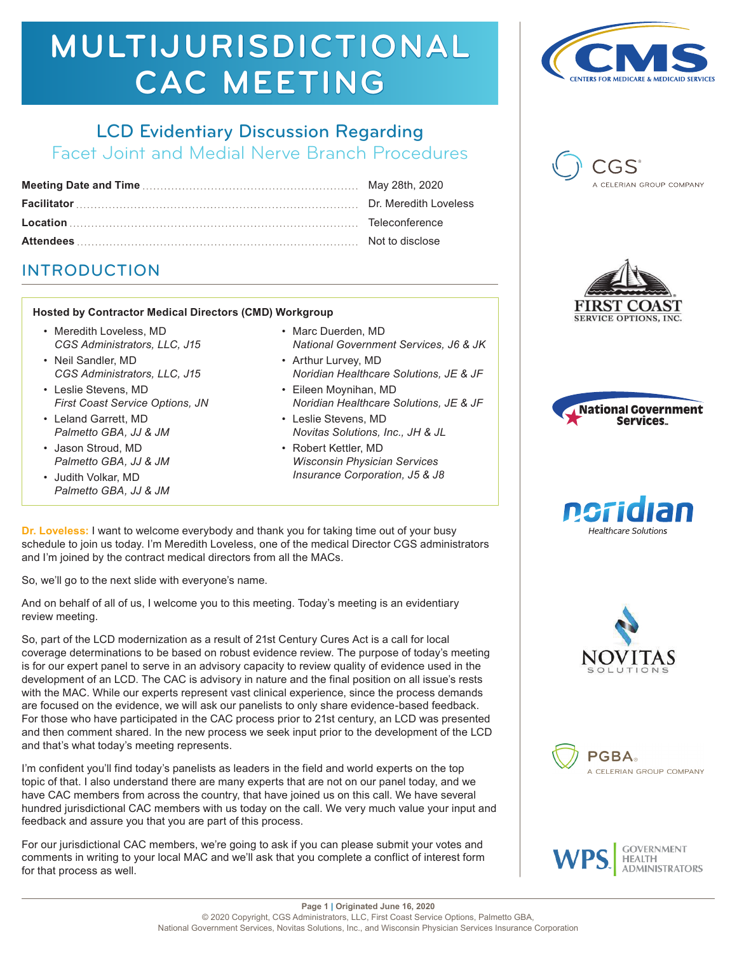# LCD Evidentiary Discussion Regarding

Facet Joint and Medial Nerve Branch Procedures

# INTRODUCTION

#### **Hosted by Contractor Medical Directors (CMD) Workgroup**

- Meredith Loveless, MD *CGS Administrators, LLC, J15*
- Neil Sandler, MD *CGS Administrators, LLC, J15*
- Leslie Stevens, MD *First Coast Service Options, JN*
- Leland Garrett, MD *Palmetto GBA, JJ & JM*
- Jason Stroud, MD *Palmetto GBA, JJ & JM*
- Judith Volkar, MD *Palmetto GBA, JJ & JM*
- Marc Duerden, MD *National Government Services, J6 & JK*
- Arthur Lurvey, MD *Noridian Healthcare Solutions, JE & JF*
- Eileen Moynihan, MD *Noridian Healthcare Solutions, JE & JF*
- Leslie Stevens, MD *Novitas Solutions, Inc., JH & JL*
- Robert Kettler, MD *Wisconsin Physician Services Insurance Corporation, J5 & J8*

**Dr. Loveless:** I want to welcome everybody and thank you for taking time out of your busy schedule to join us today. I'm Meredith Loveless, one of the medical Director CGS administrators and I'm joined by the contract medical directors from all the MACs.

So, we'll go to the next slide with everyone's name.

And on behalf of all of us, I welcome you to this meeting. Today's meeting is an evidentiary review meeting.

So, part of the LCD modernization as a result of 21st Century Cures Act is a call for local coverage determinations to be based on robust evidence review. The purpose of today's meeting is for our expert panel to serve in an advisory capacity to review quality of evidence used in the development of an LCD. The CAC is advisory in nature and the final position on all issue's rests with the MAC. While our experts represent vast clinical experience, since the process demands are focused on the evidence, we will ask our panelists to only share evidence-based feedback. For those who have participated in the CAC process prior to 21st century, an LCD was presented and then comment shared. In the new process we seek input prior to the development of the LCD and that's what today's meeting represents.

I'm confident you'll find today's panelists as leaders in the field and world experts on the top topic of that. I also understand there are many experts that are not on our panel today, and we have CAC members from across the country, that have joined us on this call. We have several hundred jurisdictional CAC members with us today on the call. We very much value your input and feedback and assure you that you are part of this process.

For our jurisdictional CAC members, we're going to ask if you can please submit your votes and comments in writing to your local MAC and we'll ask that you complete a conflict of interest form for that process as well.















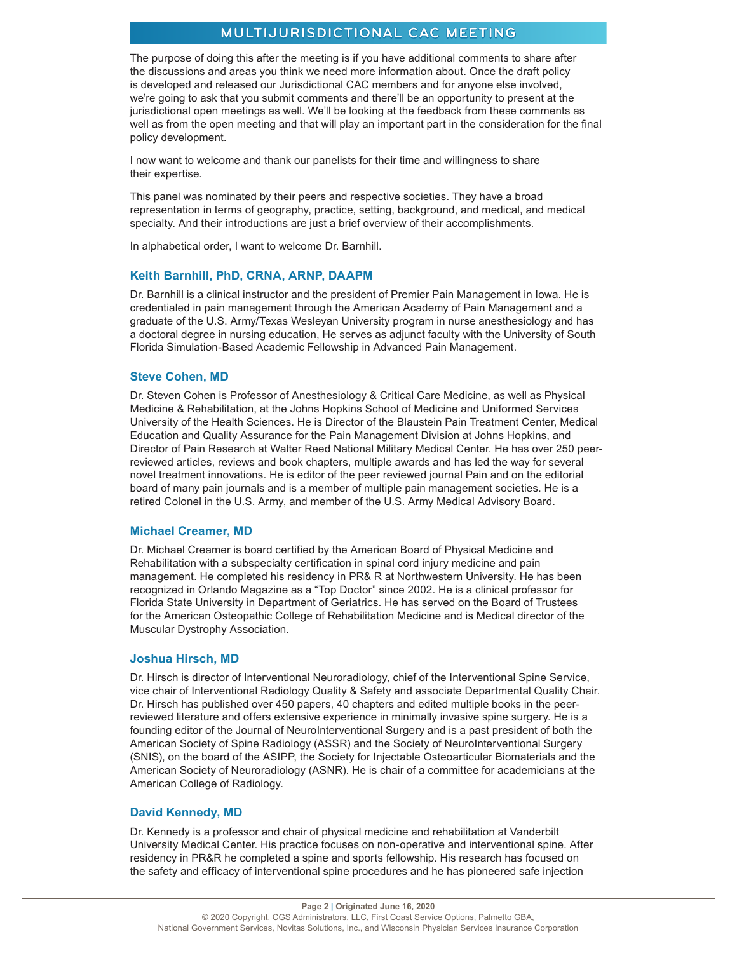The purpose of doing this after the meeting is if you have additional comments to share after the discussions and areas you think we need more information about. Once the draft policy is developed and released our Jurisdictional CAC members and for anyone else involved, we're going to ask that you submit comments and there'll be an opportunity to present at the jurisdictional open meetings as well. We'll be looking at the feedback from these comments as well as from the open meeting and that will play an important part in the consideration for the final policy development.

I now want to welcome and thank our panelists for their time and willingness to share their expertise.

This panel was nominated by their peers and respective societies. They have a broad representation in terms of geography, practice, setting, background, and medical, and medical specialty. And their introductions are just a brief overview of their accomplishments.

In alphabetical order, I want to welcome Dr. Barnhill.

#### **Keith Barnhill, PhD, CRNA, ARNP, DAAPM**

Dr. Barnhill is a clinical instructor and the president of Premier Pain Management in Iowa. He is credentialed in pain management through the American Academy of Pain Management and a graduate of the U.S. Army/Texas Wesleyan University program in nurse anesthesiology and has a doctoral degree in nursing education, He serves as adjunct faculty with the University of South Florida Simulation-Based Academic Fellowship in Advanced Pain Management.

#### **Steve Cohen, MD**

Dr. Steven Cohen is Professor of Anesthesiology & Critical Care Medicine, as well as Physical Medicine & Rehabilitation, at the Johns Hopkins School of Medicine and Uniformed Services University of the Health Sciences. He is Director of the Blaustein Pain Treatment Center, Medical Education and Quality Assurance for the Pain Management Division at Johns Hopkins, and Director of Pain Research at Walter Reed National Military Medical Center. He has over 250 peerreviewed articles, reviews and book chapters, multiple awards and has led the way for several novel treatment innovations. He is editor of the peer reviewed journal Pain and on the editorial board of many pain journals and is a member of multiple pain management societies. He is a retired Colonel in the U.S. Army, and member of the U.S. Army Medical Advisory Board.

#### **Michael Creamer, MD**

Dr. Michael Creamer is board certified by the American Board of Physical Medicine and Rehabilitation with a subspecialty certification in spinal cord injury medicine and pain management. He completed his residency in PR& R at Northwestern University. He has been recognized in Orlando Magazine as a "Top Doctor" since 2002. He is a clinical professor for Florida State University in Department of Geriatrics. He has served on the Board of Trustees for the American Osteopathic College of Rehabilitation Medicine and is Medical director of the Muscular Dystrophy Association.

#### **Joshua Hirsch, MD**

Dr. Hirsch is director of Interventional Neuroradiology, chief of the Interventional Spine Service, vice chair of Interventional Radiology Quality & Safety and associate Departmental Quality Chair. Dr. Hirsch has published over 450 papers, 40 chapters and edited multiple books in the peerreviewed literature and offers extensive experience in minimally invasive spine surgery. He is a founding editor of the Journal of NeuroInterventional Surgery and is a past president of both the American Society of Spine Radiology (ASSR) and the Society of NeuroInterventional Surgery (SNIS), on the board of the ASIPP, the Society for Injectable Osteoarticular Biomaterials and the American Society of Neuroradiology (ASNR). He is chair of a committee for academicians at the American College of Radiology.

#### **David Kennedy, MD**

Dr. Kennedy is a professor and chair of physical medicine and rehabilitation at Vanderbilt University Medical Center. His practice focuses on non-operative and interventional spine. After residency in PR&R he completed a spine and sports fellowship. His research has focused on the safety and efficacy of interventional spine procedures and he has pioneered safe injection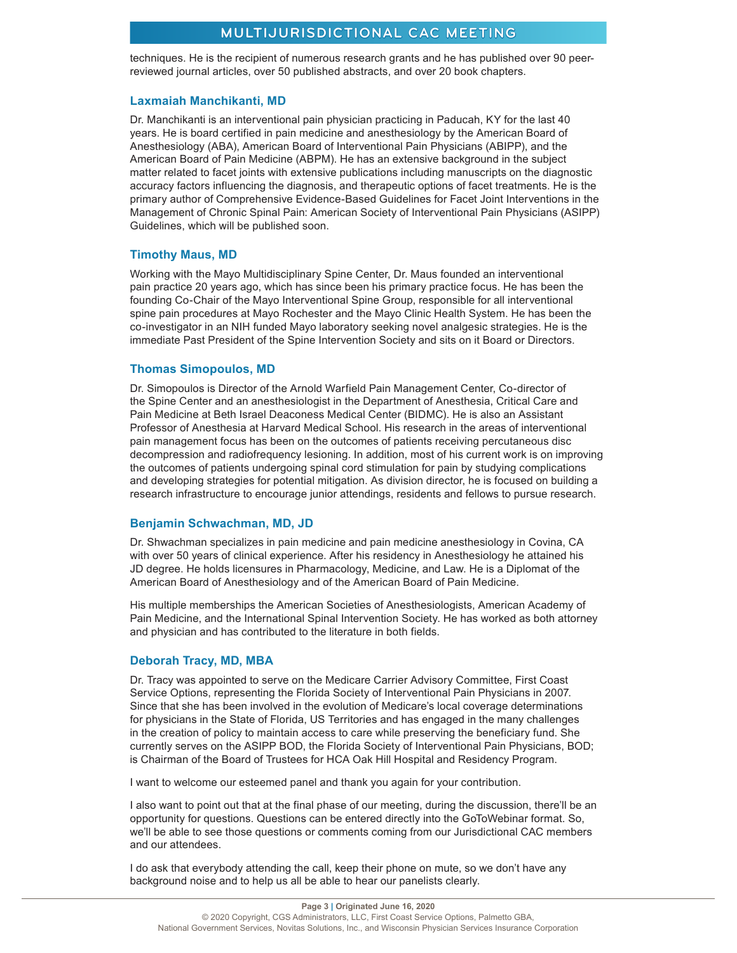techniques. He is the recipient of numerous research grants and he has published over 90 peerreviewed journal articles, over 50 published abstracts, and over 20 book chapters.

#### **Laxmaiah Manchikanti, MD**

Dr. Manchikanti is an interventional pain physician practicing in Paducah, KY for the last 40 years. He is board certified in pain medicine and anesthesiology by the American Board of Anesthesiology (ABA), American Board of Interventional Pain Physicians (ABIPP), and the American Board of Pain Medicine (ABPM). He has an extensive background in the subject matter related to facet joints with extensive publications including manuscripts on the diagnostic accuracy factors influencing the diagnosis, and therapeutic options of facet treatments. He is the primary author of Comprehensive Evidence-Based Guidelines for Facet Joint Interventions in the Management of Chronic Spinal Pain: American Society of Interventional Pain Physicians (ASIPP) Guidelines, which will be published soon.

#### **Timothy Maus, MD**

Working with the Mayo Multidisciplinary Spine Center, Dr. Maus founded an interventional pain practice 20 years ago, which has since been his primary practice focus. He has been the founding Co-Chair of the Mayo Interventional Spine Group, responsible for all interventional spine pain procedures at Mayo Rochester and the Mayo Clinic Health System. He has been the co-investigator in an NIH funded Mayo laboratory seeking novel analgesic strategies. He is the immediate Past President of the Spine Intervention Society and sits on it Board or Directors.

#### **Thomas Simopoulos, MD**

Dr. Simopoulos is Director of the Arnold Warfield Pain Management Center, Co-director of the Spine Center and an anesthesiologist in the Department of Anesthesia, Critical Care and Pain Medicine at Beth Israel Deaconess Medical Center (BIDMC). He is also an Assistant Professor of Anesthesia at Harvard Medical School. His research in the areas of interventional pain management focus has been on the outcomes of patients receiving percutaneous disc decompression and radiofrequency lesioning. In addition, most of his current work is on improving the outcomes of patients undergoing spinal cord stimulation for pain by studying complications and developing strategies for potential mitigation. As division director, he is focused on building a research infrastructure to encourage junior attendings, residents and fellows to pursue research.

#### **Benjamin Schwachman, MD, JD**

Dr. Shwachman specializes in pain medicine and pain medicine anesthesiology in Covina, CA with over 50 years of clinical experience. After his residency in Anesthesiology he attained his JD degree. He holds licensures in Pharmacology, Medicine, and Law. He is a Diplomat of the American Board of Anesthesiology and of the American Board of Pain Medicine.

His multiple memberships the American Societies of Anesthesiologists, American Academy of Pain Medicine, and the International Spinal Intervention Society. He has worked as both attorney and physician and has contributed to the literature in both fields.

#### **Deborah Tracy, MD, MBA**

Dr. Tracy was appointed to serve on the Medicare Carrier Advisory Committee, First Coast Service Options, representing the Florida Society of Interventional Pain Physicians in 2007. Since that she has been involved in the evolution of Medicare's local coverage determinations for physicians in the State of Florida, US Territories and has engaged in the many challenges in the creation of policy to maintain access to care while preserving the beneficiary fund. She currently serves on the ASIPP BOD, the Florida Society of Interventional Pain Physicians, BOD; is Chairman of the Board of Trustees for HCA Oak Hill Hospital and Residency Program.

I want to welcome our esteemed panel and thank you again for your contribution.

I also want to point out that at the final phase of our meeting, during the discussion, there'll be an opportunity for questions. Questions can be entered directly into the GoToWebinar format. So, we'll be able to see those questions or comments coming from our Jurisdictional CAC members and our attendees.

I do ask that everybody attending the call, keep their phone on mute, so we don't have any background noise and to help us all be able to hear our panelists clearly.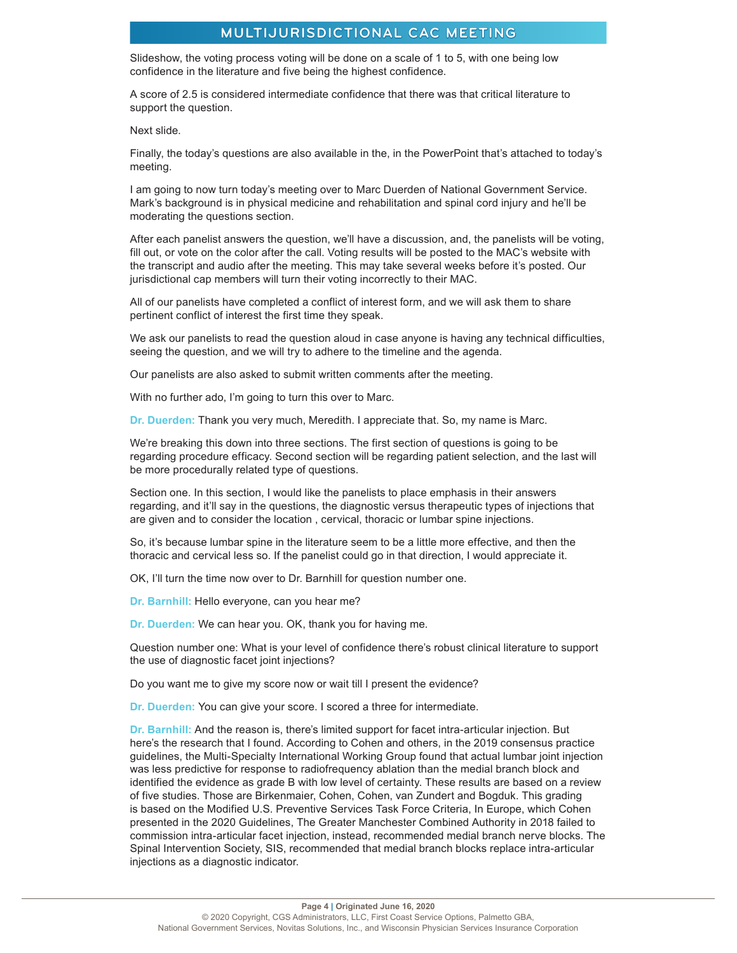Slideshow, the voting process voting will be done on a scale of 1 to 5, with one being low confidence in the literature and five being the highest confidence.

A score of 2.5 is considered intermediate confidence that there was that critical literature to support the question.

Next slide.

Finally, the today's questions are also available in the, in the PowerPoint that's attached to today's meeting.

I am going to now turn today's meeting over to Marc Duerden of National Government Service. Mark's background is in physical medicine and rehabilitation and spinal cord injury and he'll be moderating the questions section.

After each panelist answers the question, we'll have a discussion, and, the panelists will be voting, fill out, or vote on the color after the call. Voting results will be posted to the MAC's website with the transcript and audio after the meeting. This may take several weeks before it's posted. Our jurisdictional cap members will turn their voting incorrectly to their MAC.

All of our panelists have completed a conflict of interest form, and we will ask them to share pertinent conflict of interest the first time they speak.

We ask our panelists to read the question aloud in case anyone is having any technical difficulties, seeing the question, and we will try to adhere to the timeline and the agenda.

Our panelists are also asked to submit written comments after the meeting.

With no further ado, I'm going to turn this over to Marc.

**Dr. Duerden:** Thank you very much, Meredith. I appreciate that. So, my name is Marc.

We're breaking this down into three sections. The first section of questions is going to be regarding procedure efficacy. Second section will be regarding patient selection, and the last will be more procedurally related type of questions.

Section one. In this section, I would like the panelists to place emphasis in their answers regarding, and it'll say in the questions, the diagnostic versus therapeutic types of injections that are given and to consider the location , cervical, thoracic or lumbar spine injections.

So, it's because lumbar spine in the literature seem to be a little more effective, and then the thoracic and cervical less so. If the panelist could go in that direction, I would appreciate it.

OK, I'll turn the time now over to Dr. Barnhill for question number one.

**Dr. Barnhill:** Hello everyone, can you hear me?

**Dr. Duerden:** We can hear you. OK, thank you for having me.

Question number one: What is your level of confidence there's robust clinical literature to support the use of diagnostic facet joint injections?

Do you want me to give my score now or wait till I present the evidence?

**Dr. Duerden:** You can give your score. I scored a three for intermediate.

**Dr. Barnhill:** And the reason is, there's limited support for facet intra-articular injection. But here's the research that I found. According to Cohen and others, in the 2019 consensus practice guidelines, the Multi-Specialty International Working Group found that actual lumbar joint injection was less predictive for response to radiofrequency ablation than the medial branch block and identified the evidence as grade B with low level of certainty. These results are based on a review of five studies. Those are Birkenmaier, Cohen, Cohen, van Zundert and Bogduk. This grading is based on the Modified U.S. Preventive Services Task Force Criteria, In Europe, which Cohen presented in the 2020 Guidelines, The Greater Manchester Combined Authority in 2018 failed to commission intra-articular facet injection, instead, recommended medial branch nerve blocks. The Spinal Intervention Society, SIS, recommended that medial branch blocks replace intra-articular injections as a diagnostic indicator.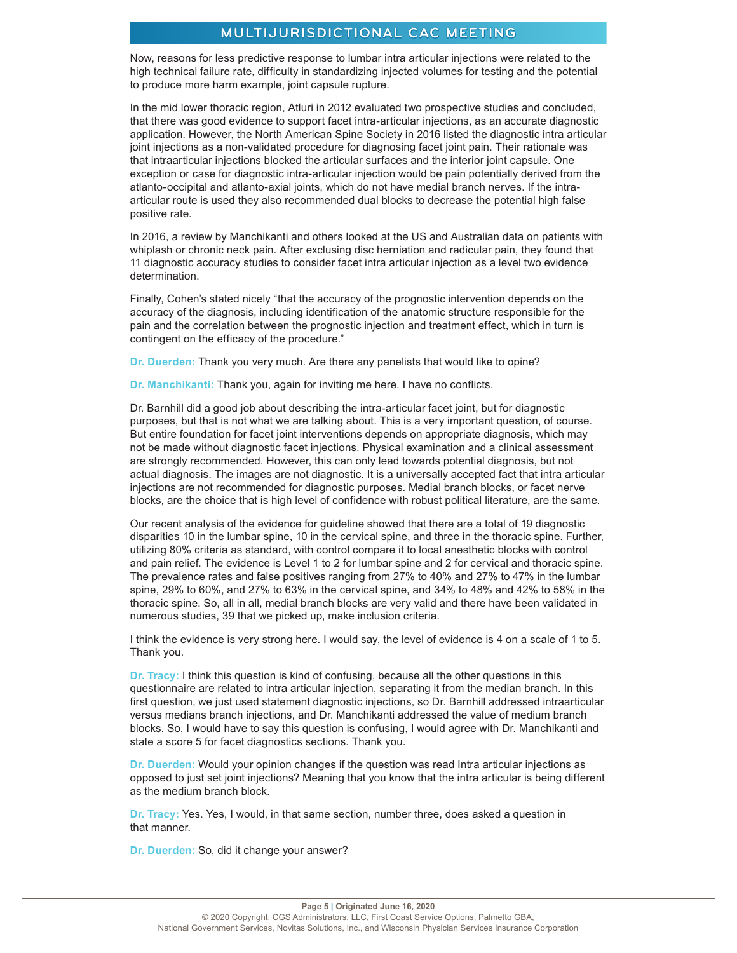Now, reasons for less predictive response to lumbar intra articular injections were related to the high technical failure rate, difficulty in standardizing injected volumes for testing and the potential to produce more harm example, joint capsule rupture.

In the mid lower thoracic region, Atluri in 2012 evaluated two prospective studies and concluded, that there was good evidence to support facet intra-articular injections, as an accurate diagnostic application. However, the North American Spine Society in 2016 listed the diagnostic intra articular joint injections as a non-validated procedure for diagnosing facet joint pain. Their rationale was that intraarticular injections blocked the articular surfaces and the interior joint capsule. One exception or case for diagnostic intra-articular injection would be pain potentially derived from the atlanto-occipital and atlanto-axial joints, which do not have medial branch nerves. If the intraarticular route is used they also recommended dual blocks to decrease the potential high false positive rate.

In 2016, a review by Manchikanti and others looked at the US and Australian data on patients with whiplash or chronic neck pain. After exclusing disc herniation and radicular pain, they found that 11 diagnostic accuracy studies to consider facet intra articular injection as a level two evidence determination.

Finally, Cohen's stated nicely "that the accuracy of the prognostic intervention depends on the accuracy of the diagnosis, including identification of the anatomic structure responsible for the pain and the correlation between the prognostic injection and treatment effect, which in turn is contingent on the efficacy of the procedure."

**Dr. Duerden:** Thank you very much. Are there any panelists that would like to opine?

**Dr. Manchikanti:** Thank you, again for inviting me here. I have no conflicts.

Dr. Barnhill did a good job about describing the intra-articular facet joint, but for diagnostic purposes, but that is not what we are talking about. This is a very important question, of course. But entire foundation for facet joint interventions depends on appropriate diagnosis, which may not be made without diagnostic facet injections. Physical examination and a clinical assessment are strongly recommended. However, this can only lead towards potential diagnosis, but not actual diagnosis. The images are not diagnostic. It is a universally accepted fact that intra articular injections are not recommended for diagnostic purposes. Medial branch blocks, or facet nerve blocks, are the choice that is high level of confidence with robust political literature, are the same.

Our recent analysis of the evidence for guideline showed that there are a total of 19 diagnostic disparities 10 in the lumbar spine, 10 in the cervical spine, and three in the thoracic spine. Further, utilizing 80% criteria as standard, with control compare it to local anesthetic blocks with control and pain relief. The evidence is Level 1 to 2 for lumbar spine and 2 for cervical and thoracic spine. The prevalence rates and false positives ranging from 27% to 40% and 27% to 47% in the lumbar spine, 29% to 60%, and 27% to 63% in the cervical spine, and 34% to 48% and 42% to 58% in the thoracic spine. So, all in all, medial branch blocks are very valid and there have been validated in numerous studies, 39 that we picked up, make inclusion criteria.

I think the evidence is very strong here. I would say, the level of evidence is 4 on a scale of 1 to 5. Thank you.

**Dr. Tracy:** I think this question is kind of confusing, because all the other questions in this questionnaire are related to intra articular injection, separating it from the median branch. In this first question, we just used statement diagnostic injections, so Dr. Barnhill addressed intraarticular versus medians branch injections, and Dr. Manchikanti addressed the value of medium branch blocks. So, I would have to say this question is confusing, I would agree with Dr. Manchikanti and state a score 5 for facet diagnostics sections. Thank you.

**Dr. Duerden:** Would your opinion changes if the question was read Intra articular injections as opposed to just set joint injections? Meaning that you know that the intra articular is being different as the medium branch block.

**Dr. Tracy:** Yes. Yes, I would, in that same section, number three, does asked a question in that manner.

**Dr. Duerden:** So, did it change your answer?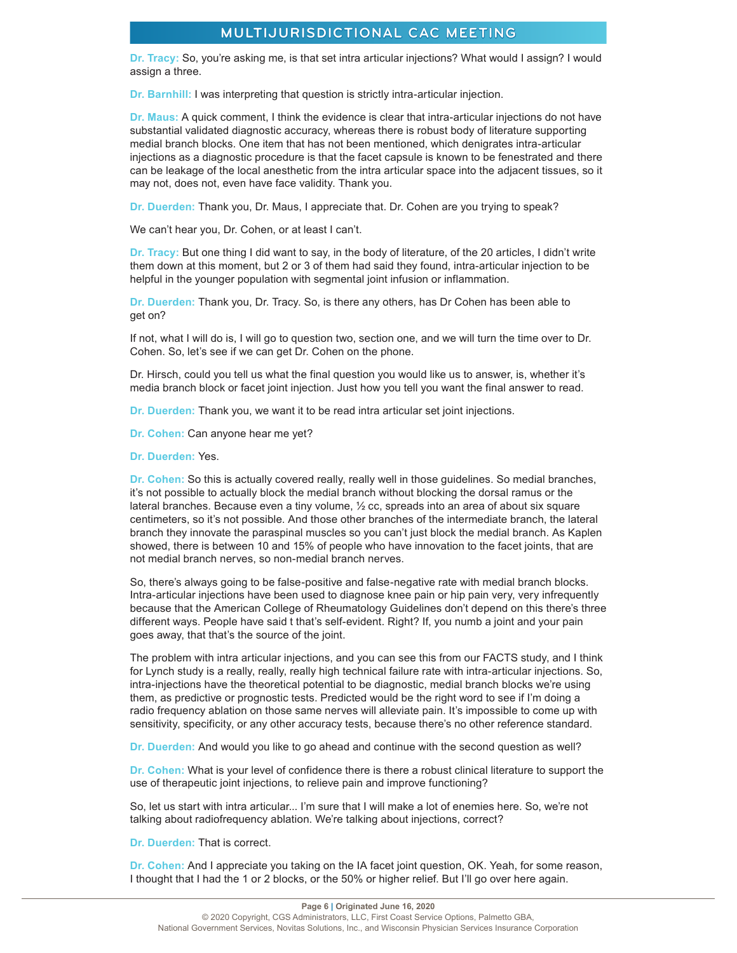**Dr. Tracy:** So, you're asking me, is that set intra articular injections? What would I assign? I would assign a three.

**Dr. Barnhill:** I was interpreting that question is strictly intra-articular injection.

**Dr. Maus:** A quick comment, I think the evidence is clear that intra-articular injections do not have substantial validated diagnostic accuracy, whereas there is robust body of literature supporting medial branch blocks. One item that has not been mentioned, which denigrates intra-articular injections as a diagnostic procedure is that the facet capsule is known to be fenestrated and there can be leakage of the local anesthetic from the intra articular space into the adjacent tissues, so it may not, does not, even have face validity. Thank you.

**Dr. Duerden:** Thank you, Dr. Maus, I appreciate that. Dr. Cohen are you trying to speak?

We can't hear you, Dr. Cohen, or at least I can't.

**Dr. Tracy:** But one thing I did want to say, in the body of literature, of the 20 articles, I didn't write them down at this moment, but 2 or 3 of them had said they found, intra-articular injection to be helpful in the younger population with segmental joint infusion or inflammation.

**Dr. Duerden:** Thank you, Dr. Tracy. So, is there any others, has Dr Cohen has been able to get on?

If not, what I will do is, I will go to question two, section one, and we will turn the time over to Dr. Cohen. So, let's see if we can get Dr. Cohen on the phone.

Dr. Hirsch, could you tell us what the final question you would like us to answer, is, whether it's media branch block or facet joint injection. Just how you tell you want the final answer to read.

**Dr. Duerden:** Thank you, we want it to be read intra articular set joint injections.

**Dr. Cohen:** Can anyone hear me yet?

**Dr. Duerden:** Yes.

**Dr. Cohen:** So this is actually covered really, really well in those guidelines. So medial branches, it's not possible to actually block the medial branch without blocking the dorsal ramus or the lateral branches. Because even a tiny volume, ½ cc, spreads into an area of about six square centimeters, so it's not possible. And those other branches of the intermediate branch, the lateral branch they innovate the paraspinal muscles so you can't just block the medial branch. As Kaplen showed, there is between 10 and 15% of people who have innovation to the facet joints, that are not medial branch nerves, so non-medial branch nerves.

So, there's always going to be false-positive and false-negative rate with medial branch blocks. Intra-articular injections have been used to diagnose knee pain or hip pain very, very infrequently because that the American College of Rheumatology Guidelines don't depend on this there's three different ways. People have said t that's self-evident. Right? If, you numb a joint and your pain goes away, that that's the source of the joint.

The problem with intra articular injections, and you can see this from our FACTS study, and I think for Lynch study is a really, really, really high technical failure rate with intra-articular injections. So, intra-injections have the theoretical potential to be diagnostic, medial branch blocks we're using them, as predictive or prognostic tests. Predicted would be the right word to see if I'm doing a radio frequency ablation on those same nerves will alleviate pain. It's impossible to come up with sensitivity, specificity, or any other accuracy tests, because there's no other reference standard.

**Dr. Duerden:** And would you like to go ahead and continue with the second question as well?

**Dr. Cohen:** What is your level of confidence there is there a robust clinical literature to support the use of therapeutic joint injections, to relieve pain and improve functioning?

So, let us start with intra articular... I'm sure that I will make a lot of enemies here. So, we're not talking about radiofrequency ablation. We're talking about injections, correct?

**Dr. Duerden:** That is correct.

**Dr. Cohen:** And I appreciate you taking on the IA facet joint question, OK. Yeah, for some reason, I thought that I had the 1 or 2 blocks, or the 50% or higher relief. But I'll go over here again.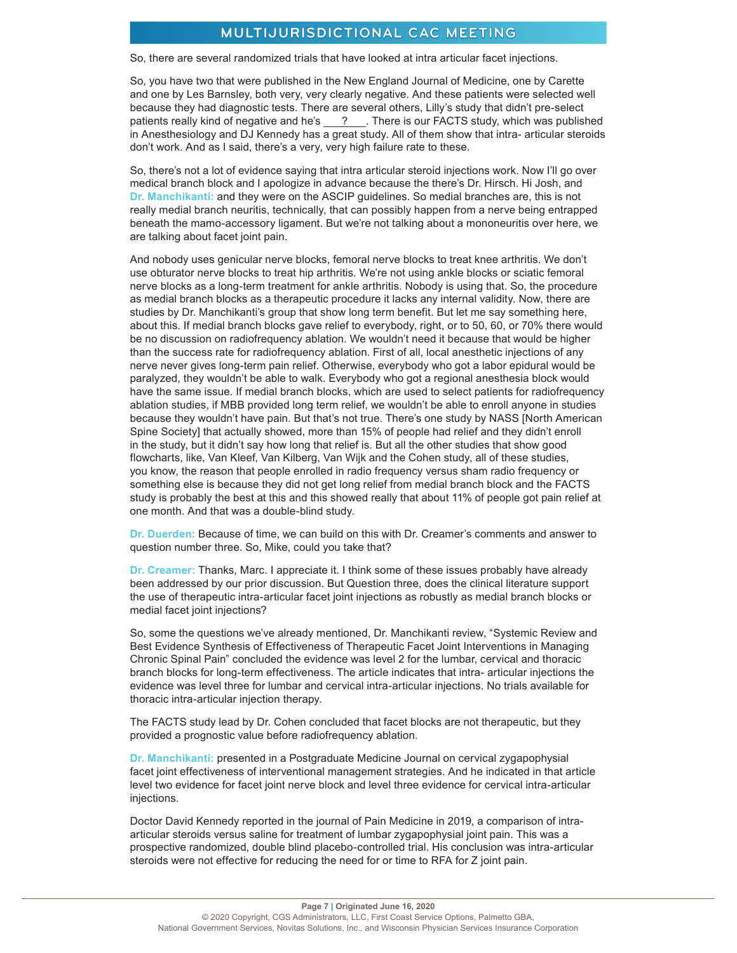So, there are several randomized trials that have looked at intra articular facet injections.

So, you have two that were published in the New England Journal of Medicine, one by Carette and one by Les Barnsley, both very, very clearly negative. And these patients were selected well because they had diagnostic tests. There are several others, Lilly's study that didn't pre-select patients really kind of negative and he's  $\frac{?}{?}$ . There is our FACTS study, which was published in Anesthesiology and DJ Kennedy has a great study. All of them show that intra- articular steroids don't work. And as I said, there's a very, very high failure rate to these.

So, there's not a lot of evidence saying that intra articular steroid injections work. Now I'll go over medical branch block and I apologize in advance because the there's Dr. Hirsch. Hi Josh, and **Dr. Manchikanti:** and they were on the ASCIP guidelines. So medial branches are, this is not really medial branch neuritis, technically, that can possibly happen from a nerve being entrapped beneath the mamo-accessory ligament. But we're not talking about a mononeuritis over here, we are talking about facet joint pain.

And nobody uses genicular nerve blocks, femoral nerve blocks to treat knee arthritis. We don't use obturator nerve blocks to treat hip arthritis. We're not using ankle blocks or sciatic femoral nerve blocks as a long-term treatment for ankle arthritis. Nobody is using that. So, the procedure as medial branch blocks as a therapeutic procedure it lacks any internal validity. Now, there are studies by Dr. Manchikanti's group that show long term benefit. But let me say something here, about this. If medial branch blocks gave relief to everybody, right, or to 50, 60, or 70% there would be no discussion on radiofrequency ablation. We wouldn't need it because that would be higher than the success rate for radiofrequency ablation. First of all, local anesthetic injections of any nerve never gives long-term pain relief. Otherwise, everybody who got a labor epidural would be paralyzed, they wouldn't be able to walk. Everybody who got a regional anesthesia block would have the same issue. If medial branch blocks, which are used to select patients for radiofrequency ablation studies, if MBB provided long term relief, we wouldn't be able to enroll anyone in studies because they wouldn't have pain. But that's not true. There's one study by NASS [North American Spine Society] that actually showed, more than 15% of people had relief and they didn't enroll in the study, but it didn't say how long that relief is. But all the other studies that show good flowcharts, like, Van Kleef, Van Kilberg, Van Wijk and the Cohen study, all of these studies, you know, the reason that people enrolled in radio frequency versus sham radio frequency or something else is because they did not get long relief from medial branch block and the FACTS study is probably the best at this and this showed really that about 11% of people got pain relief at one month. And that was a double-blind study.

**Dr. Duerden:** Because of time, we can build on this with Dr. Creamer's comments and answer to question number three. So, Mike, could you take that?

**Dr. Creamer:** Thanks, Marc. I appreciate it. I think some of these issues probably have already been addressed by our prior discussion. But Question three, does the clinical literature support the use of therapeutic intra-articular facet joint injections as robustly as medial branch blocks or medial facet joint injections?

So, some the questions we've already mentioned, Dr. Manchikanti review, "Systemic Review and Best Evidence Synthesis of Effectiveness of Therapeutic Facet Joint Interventions in Managing Chronic Spinal Pain" concluded the evidence was level 2 for the lumbar, cervical and thoracic branch blocks for long-term effectiveness. The article indicates that intra- articular injections the evidence was level three for lumbar and cervical intra-articular injections. No trials available for thoracic intra-articular injection therapy.

The FACTS study lead by Dr. Cohen concluded that facet blocks are not therapeutic, but they provided a prognostic value before radiofrequency ablation.

**Dr. Manchikanti:** presented in a Postgraduate Medicine Journal on cervical zygapophysial facet joint effectiveness of interventional management strategies. And he indicated in that article level two evidence for facet joint nerve block and level three evidence for cervical intra-articular injections.

Doctor David Kennedy reported in the journal of Pain Medicine in 2019, a comparison of intraarticular steroids versus saline for treatment of lumbar zygapophysial joint pain. This was a prospective randomized, double blind placebo-controlled trial. His conclusion was intra-articular steroids were not effective for reducing the need for or time to RFA for Z joint pain.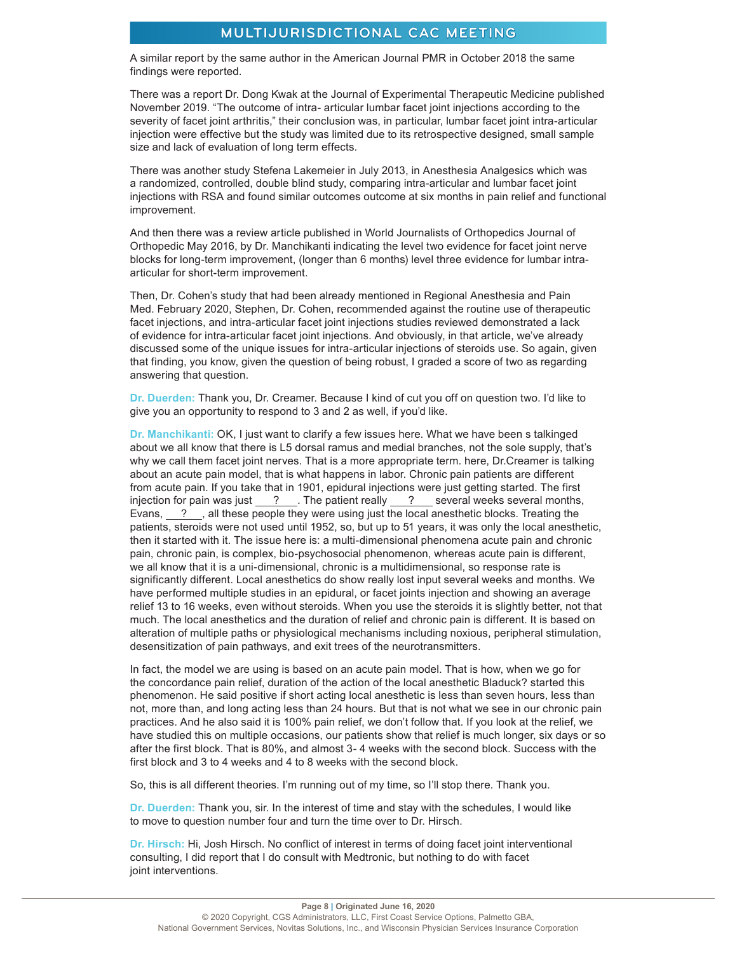A similar report by the same author in the American Journal PMR in October 2018 the same findings were reported.

There was a report Dr. Dong Kwak at the Journal of Experimental Therapeutic Medicine published November 2019. "The outcome of intra- articular lumbar facet joint injections according to the severity of facet joint arthritis," their conclusion was, in particular, lumbar facet joint intra-articular injection were effective but the study was limited due to its retrospective designed, small sample size and lack of evaluation of long term effects.

There was another study Stefena Lakemeier in July 2013, in Anesthesia Analgesics which was a randomized, controlled, double blind study, comparing intra-articular and lumbar facet joint injections with RSA and found similar outcomes outcome at six months in pain relief and functional improvement.

And then there was a review article published in World Journalists of Orthopedics Journal of Orthopedic May 2016, by Dr. Manchikanti indicating the level two evidence for facet joint nerve blocks for long-term improvement, (longer than 6 months) level three evidence for lumbar intraarticular for short-term improvement.

Then, Dr. Cohen's study that had been already mentioned in Regional Anesthesia and Pain Med. February 2020, Stephen, Dr. Cohen, recommended against the routine use of therapeutic facet injections, and intra-articular facet joint injections studies reviewed demonstrated a lack of evidence for intra-articular facet joint injections. And obviously, in that article, we've already discussed some of the unique issues for intra-articular injections of steroids use. So again, given that finding, you know, given the question of being robust, I graded a score of two as regarding answering that question.

**Dr. Duerden:** Thank you, Dr. Creamer. Because I kind of cut you off on question two. I'd like to give you an opportunity to respond to 3 and 2 as well, if you'd like.

**Dr. Manchikanti:** OK, I just want to clarify a few issues here. What we have been s talkinged about we all know that there is L5 dorsal ramus and medial branches, not the sole supply, that's why we call them facet joint nerves. That is a more appropriate term. here, Dr.Creamer is talking about an acute pain model, that is what happens in labor. Chronic pain patients are different from acute pain. If you take that in 1901, epidural injections were just getting started. The first injection for pain was just  $\frac{?}$ . The patient really  $\frac{?}$  several weeks several months, Evans, ? , all these people they were using just the local anesthetic blocks. Treating the patients, steroids were not used until 1952, so, but up to 51 years, it was only the local anesthetic, then it started with it. The issue here is: a multi-dimensional phenomena acute pain and chronic pain, chronic pain, is complex, bio-psychosocial phenomenon, whereas acute pain is different, we all know that it is a uni-dimensional, chronic is a multidimensional, so response rate is significantly different. Local anesthetics do show really lost input several weeks and months. We have performed multiple studies in an epidural, or facet joints injection and showing an average relief 13 to 16 weeks, even without steroids. When you use the steroids it is slightly better, not that much. The local anesthetics and the duration of relief and chronic pain is different. It is based on alteration of multiple paths or physiological mechanisms including noxious, peripheral stimulation, desensitization of pain pathways, and exit trees of the neurotransmitters.

In fact, the model we are using is based on an acute pain model. That is how, when we go for the concordance pain relief, duration of the action of the local anesthetic Bladuck? started this phenomenon. He said positive if short acting local anesthetic is less than seven hours, less than not, more than, and long acting less than 24 hours. But that is not what we see in our chronic pain practices. And he also said it is 100% pain relief, we don't follow that. If you look at the relief, we have studied this on multiple occasions, our patients show that relief is much longer, six days or so after the first block. That is 80%, and almost 3- 4 weeks with the second block. Success with the first block and 3 to 4 weeks and 4 to 8 weeks with the second block.

So, this is all different theories. I'm running out of my time, so I'll stop there. Thank you.

**Dr. Duerden:** Thank you, sir. In the interest of time and stay with the schedules, I would like to move to question number four and turn the time over to Dr. Hirsch.

**Dr. Hirsch:** Hi, Josh Hirsch. No conflict of interest in terms of doing facet joint interventional consulting, I did report that I do consult with Medtronic, but nothing to do with facet joint interventions.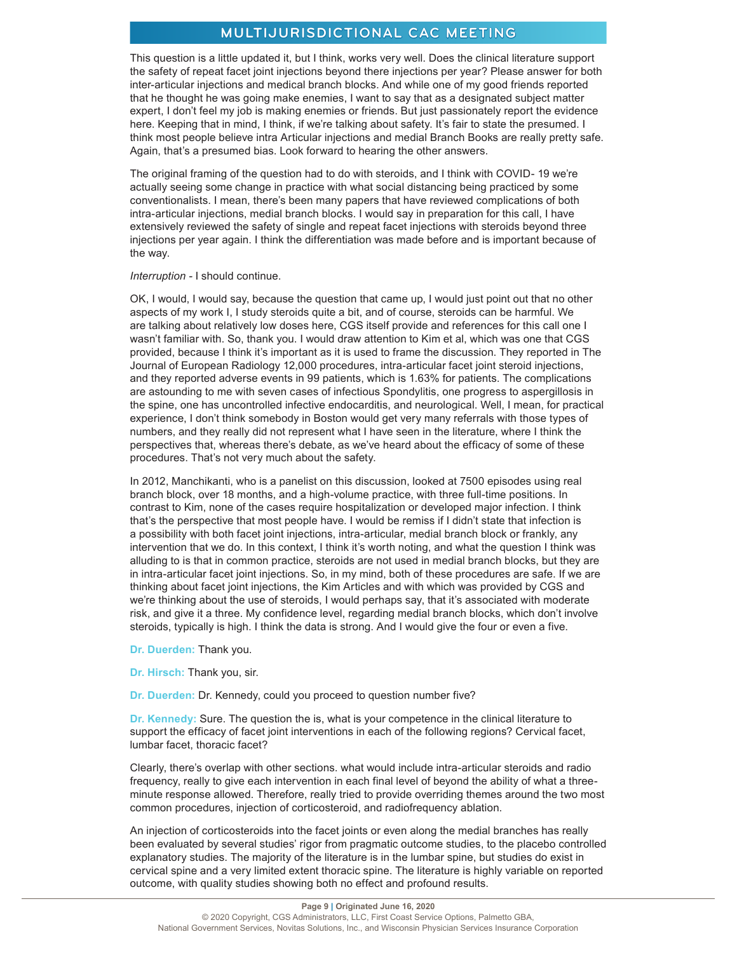This question is a little updated it, but I think, works very well. Does the clinical literature support the safety of repeat facet joint injections beyond there injections per year? Please answer for both inter-articular injections and medical branch blocks. And while one of my good friends reported that he thought he was going make enemies, I want to say that as a designated subject matter expert, I don't feel my job is making enemies or friends. But just passionately report the evidence here. Keeping that in mind, I think, if we're talking about safety. It's fair to state the presumed. I think most people believe intra Articular injections and medial Branch Books are really pretty safe. Again, that's a presumed bias. Look forward to hearing the other answers.

The original framing of the question had to do with steroids, and I think with COVID- 19 we're actually seeing some change in practice with what social distancing being practiced by some conventionalists. I mean, there's been many papers that have reviewed complications of both intra-articular injections, medial branch blocks. I would say in preparation for this call, I have extensively reviewed the safety of single and repeat facet injections with steroids beyond three injections per year again. I think the differentiation was made before and is important because of the way.

#### *Interruption -* I should continue.

OK, I would, I would say, because the question that came up, I would just point out that no other aspects of my work I, I study steroids quite a bit, and of course, steroids can be harmful. We are talking about relatively low doses here, CGS itself provide and references for this call one I wasn't familiar with. So, thank you. I would draw attention to Kim et al, which was one that CGS provided, because I think it's important as it is used to frame the discussion. They reported in The Journal of European Radiology 12,000 procedures, intra-articular facet joint steroid injections, and they reported adverse events in 99 patients, which is 1.63% for patients. The complications are astounding to me with seven cases of infectious Spondylitis, one progress to aspergillosis in the spine, one has uncontrolled infective endocarditis, and neurological. Well, I mean, for practical experience, I don't think somebody in Boston would get very many referrals with those types of numbers, and they really did not represent what I have seen in the literature, where I think the perspectives that, whereas there's debate, as we've heard about the efficacy of some of these procedures. That's not very much about the safety.

In 2012, Manchikanti, who is a panelist on this discussion, looked at 7500 episodes using real branch block, over 18 months, and a high-volume practice, with three full-time positions. In contrast to Kim, none of the cases require hospitalization or developed major infection. I think that's the perspective that most people have. I would be remiss if I didn't state that infection is a possibility with both facet joint injections, intra-articular, medial branch block or frankly, any intervention that we do. In this context, I think it's worth noting, and what the question I think was alluding to is that in common practice, steroids are not used in medial branch blocks, but they are in intra-articular facet joint injections. So, in my mind, both of these procedures are safe. If we are thinking about facet joint injections, the Kim Articles and with which was provided by CGS and we're thinking about the use of steroids, I would perhaps say, that it's associated with moderate risk, and give it a three. My confidence level, regarding medial branch blocks, which don't involve steroids, typically is high. I think the data is strong. And I would give the four or even a five.

- **Dr. Duerden:** Thank you.
- **Dr. Hirsch:** Thank you, sir.
- **Dr. Duerden:** Dr. Kennedy, could you proceed to question number five?

**Dr. Kennedy:** Sure. The question the is, what is your competence in the clinical literature to support the efficacy of facet joint interventions in each of the following regions? Cervical facet, lumbar facet, thoracic facet?

Clearly, there's overlap with other sections. what would include intra-articular steroids and radio frequency, really to give each intervention in each final level of beyond the ability of what a threeminute response allowed. Therefore, really tried to provide overriding themes around the two most common procedures, injection of corticosteroid, and radiofrequency ablation.

An injection of corticosteroids into the facet joints or even along the medial branches has really been evaluated by several studies' rigor from pragmatic outcome studies, to the placebo controlled explanatory studies. The majority of the literature is in the lumbar spine, but studies do exist in cervical spine and a very limited extent thoracic spine. The literature is highly variable on reported outcome, with quality studies showing both no effect and profound results.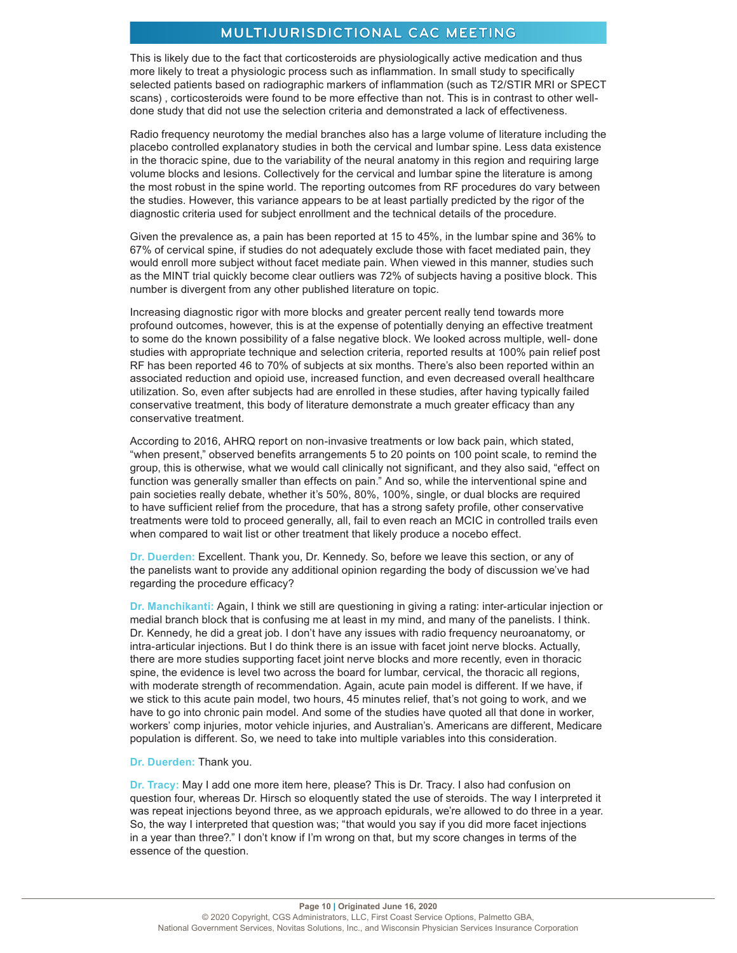This is likely due to the fact that corticosteroids are physiologically active medication and thus more likely to treat a physiologic process such as inflammation. In small study to specifically selected patients based on radiographic markers of inflammation (such as T2/STIR MRI or SPECT scans) , corticosteroids were found to be more effective than not. This is in contrast to other welldone study that did not use the selection criteria and demonstrated a lack of effectiveness.

Radio frequency neurotomy the medial branches also has a large volume of literature including the placebo controlled explanatory studies in both the cervical and lumbar spine. Less data existence in the thoracic spine, due to the variability of the neural anatomy in this region and requiring large volume blocks and lesions. Collectively for the cervical and lumbar spine the literature is among the most robust in the spine world. The reporting outcomes from RF procedures do vary between the studies. However, this variance appears to be at least partially predicted by the rigor of the diagnostic criteria used for subject enrollment and the technical details of the procedure.

Given the prevalence as, a pain has been reported at 15 to 45%, in the lumbar spine and 36% to 67% of cervical spine, if studies do not adequately exclude those with facet mediated pain, they would enroll more subject without facet mediate pain. When viewed in this manner, studies such as the MINT trial quickly become clear outliers was 72% of subjects having a positive block. This number is divergent from any other published literature on topic.

Increasing diagnostic rigor with more blocks and greater percent really tend towards more profound outcomes, however, this is at the expense of potentially denying an effective treatment to some do the known possibility of a false negative block. We looked across multiple, well- done studies with appropriate technique and selection criteria, reported results at 100% pain relief post RF has been reported 46 to 70% of subjects at six months. There's also been reported within an associated reduction and opioid use, increased function, and even decreased overall healthcare utilization. So, even after subjects had are enrolled in these studies, after having typically failed conservative treatment, this body of literature demonstrate a much greater efficacy than any conservative treatment.

According to 2016, AHRQ report on non-invasive treatments or low back pain, which stated, "when present," observed benefits arrangements 5 to 20 points on 100 point scale, to remind the group, this is otherwise, what we would call clinically not significant, and they also said, "effect on function was generally smaller than effects on pain." And so, while the interventional spine and pain societies really debate, whether it's 50%, 80%, 100%, single, or dual blocks are required to have sufficient relief from the procedure, that has a strong safety profile, other conservative treatments were told to proceed generally, all, fail to even reach an MCIC in controlled trails even when compared to wait list or other treatment that likely produce a nocebo effect.

**Dr. Duerden:** Excellent. Thank you, Dr. Kennedy. So, before we leave this section, or any of the panelists want to provide any additional opinion regarding the body of discussion we've had regarding the procedure efficacy?

**Dr. Manchikanti:** Again, I think we still are questioning in giving a rating: inter-articular injection or medial branch block that is confusing me at least in my mind, and many of the panelists. I think. Dr. Kennedy, he did a great job. I don't have any issues with radio frequency neuroanatomy, or intra-articular injections. But I do think there is an issue with facet joint nerve blocks. Actually, there are more studies supporting facet joint nerve blocks and more recently, even in thoracic spine, the evidence is level two across the board for lumbar, cervical, the thoracic all regions, with moderate strength of recommendation. Again, acute pain model is different. If we have, if we stick to this acute pain model, two hours, 45 minutes relief, that's not going to work, and we have to go into chronic pain model. And some of the studies have quoted all that done in worker, workers' comp injuries, motor vehicle injuries, and Australian's. Americans are different, Medicare population is different. So, we need to take into multiple variables into this consideration.

#### **Dr. Duerden:** Thank you.

**Dr. Tracy:** May I add one more item here, please? This is Dr. Tracy. I also had confusion on question four, whereas Dr. Hirsch so eloquently stated the use of steroids. The way I interpreted it was repeat injections beyond three, as we approach epidurals, we're allowed to do three in a year. So, the way I interpreted that question was; "that would you say if you did more facet injections in a year than three?." I don't know if I'm wrong on that, but my score changes in terms of the essence of the question.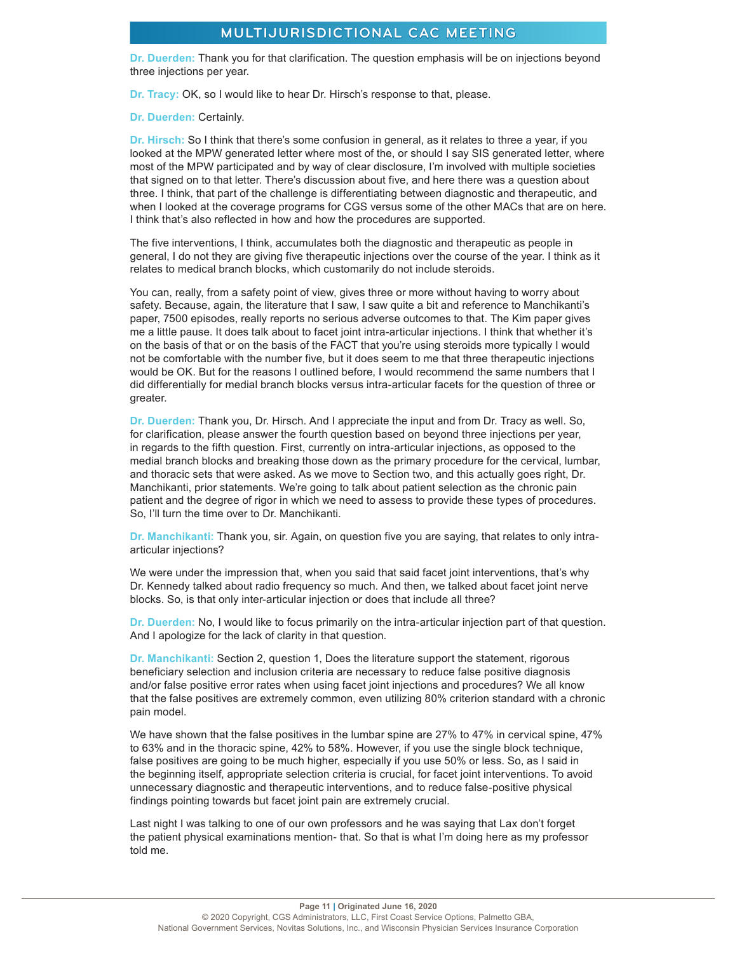**Dr. Duerden:** Thank you for that clarification. The question emphasis will be on injections beyond three injections per year.

**Dr. Tracy:** OK, so I would like to hear Dr. Hirsch's response to that, please.

**Dr. Duerden:** Certainly.

**Dr. Hirsch:** So I think that there's some confusion in general, as it relates to three a year, if you looked at the MPW generated letter where most of the, or should I say SIS generated letter, where most of the MPW participated and by way of clear disclosure, I'm involved with multiple societies that signed on to that letter. There's discussion about five, and here there was a question about three. I think, that part of the challenge is differentiating between diagnostic and therapeutic, and when I looked at the coverage programs for CGS versus some of the other MACs that are on here. I think that's also reflected in how and how the procedures are supported.

The five interventions, I think, accumulates both the diagnostic and therapeutic as people in general, I do not they are giving five therapeutic injections over the course of the year. I think as it relates to medical branch blocks, which customarily do not include steroids.

You can, really, from a safety point of view, gives three or more without having to worry about safety. Because, again, the literature that I saw, I saw quite a bit and reference to Manchikanti's paper, 7500 episodes, really reports no serious adverse outcomes to that. The Kim paper gives me a little pause. It does talk about to facet joint intra-articular injections. I think that whether it's on the basis of that or on the basis of the FACT that you're using steroids more typically I would not be comfortable with the number five, but it does seem to me that three therapeutic injections would be OK. But for the reasons I outlined before, I would recommend the same numbers that I did differentially for medial branch blocks versus intra-articular facets for the question of three or greater.

**Dr. Duerden:** Thank you, Dr. Hirsch. And I appreciate the input and from Dr. Tracy as well. So, for clarification, please answer the fourth question based on beyond three injections per year, in regards to the fifth question. First, currently on intra-articular injections, as opposed to the medial branch blocks and breaking those down as the primary procedure for the cervical, lumbar, and thoracic sets that were asked. As we move to Section two, and this actually goes right, Dr. Manchikanti, prior statements. We're going to talk about patient selection as the chronic pain patient and the degree of rigor in which we need to assess to provide these types of procedures. So, I'll turn the time over to Dr. Manchikanti.

**Dr. Manchikanti:** Thank you, sir. Again, on question five you are saying, that relates to only intraarticular injections?

We were under the impression that, when you said that said facet joint interventions, that's why Dr. Kennedy talked about radio frequency so much. And then, we talked about facet joint nerve blocks. So, is that only inter-articular injection or does that include all three?

**Dr. Duerden:** No, I would like to focus primarily on the intra-articular injection part of that question. And I apologize for the lack of clarity in that question.

**Dr. Manchikanti:** Section 2, question 1, Does the literature support the statement, rigorous beneficiary selection and inclusion criteria are necessary to reduce false positive diagnosis and/or false positive error rates when using facet joint injections and procedures? We all know that the false positives are extremely common, even utilizing 80% criterion standard with a chronic pain model.

We have shown that the false positives in the lumbar spine are 27% to 47% in cervical spine, 47% to 63% and in the thoracic spine, 42% to 58%. However, if you use the single block technique, false positives are going to be much higher, especially if you use 50% or less. So, as I said in the beginning itself, appropriate selection criteria is crucial, for facet joint interventions. To avoid unnecessary diagnostic and therapeutic interventions, and to reduce false-positive physical findings pointing towards but facet joint pain are extremely crucial.

Last night I was talking to one of our own professors and he was saying that Lax don't forget the patient physical examinations mention- that. So that is what I'm doing here as my professor told me.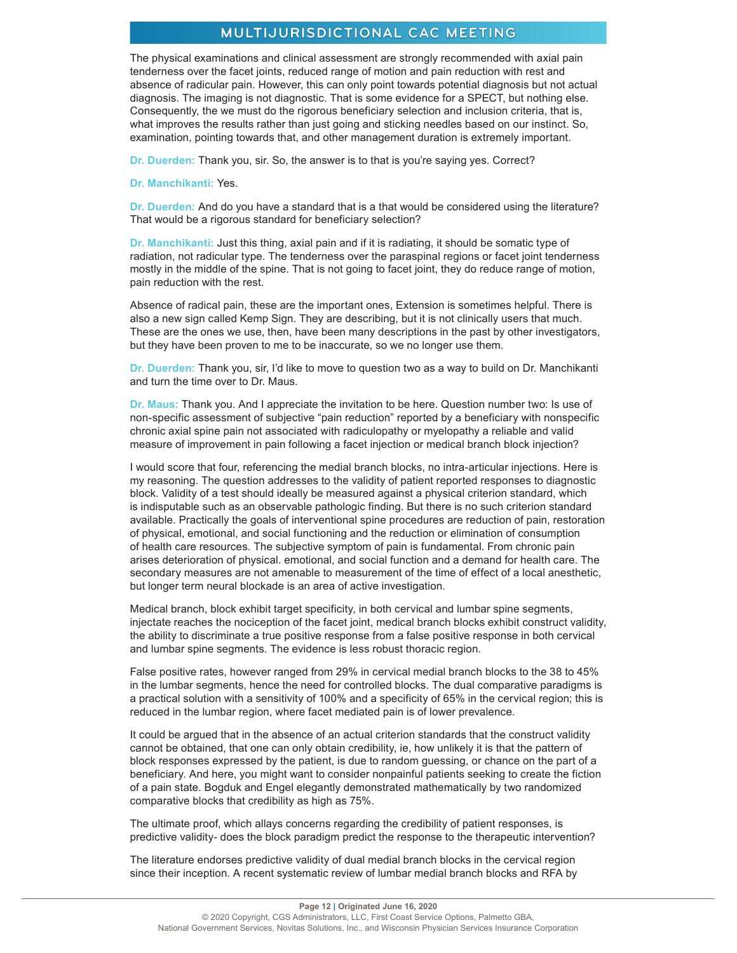The physical examinations and clinical assessment are strongly recommended with axial pain tenderness over the facet joints, reduced range of motion and pain reduction with rest and absence of radicular pain. However, this can only point towards potential diagnosis but not actual diagnosis. The imaging is not diagnostic. That is some evidence for a SPECT, but nothing else. Consequently, the we must do the rigorous beneficiary selection and inclusion criteria, that is, what improves the results rather than just going and sticking needles based on our instinct. So, examination, pointing towards that, and other management duration is extremely important.

**Dr. Duerden:** Thank you, sir. So, the answer is to that is you're saying yes. Correct?

**Dr. Manchikanti:** Yes.

**Dr. Duerden:** And do you have a standard that is a that would be considered using the literature? That would be a rigorous standard for beneficiary selection?

**Dr. Manchikanti:** Just this thing, axial pain and if it is radiating, it should be somatic type of radiation, not radicular type. The tenderness over the paraspinal regions or facet joint tenderness mostly in the middle of the spine. That is not going to facet joint, they do reduce range of motion, pain reduction with the rest.

Absence of radical pain, these are the important ones, Extension is sometimes helpful. There is also a new sign called Kemp Sign. They are describing, but it is not clinically users that much. These are the ones we use, then, have been many descriptions in the past by other investigators, but they have been proven to me to be inaccurate, so we no longer use them.

**Dr. Duerden:** Thank you, sir, I'd like to move to question two as a way to build on Dr. Manchikanti and turn the time over to Dr. Maus.

**Dr. Maus:** Thank you. And I appreciate the invitation to be here. Question number two: Is use of non-specific assessment of subjective "pain reduction" reported by a beneficiary with nonspecific chronic axial spine pain not associated with radiculopathy or myelopathy a reliable and valid measure of improvement in pain following a facet injection or medical branch block injection?

I would score that four, referencing the medial branch blocks, no intra-articular injections. Here is my reasoning. The question addresses to the validity of patient reported responses to diagnostic block. Validity of a test should ideally be measured against a physical criterion standard, which is indisputable such as an observable pathologic finding. But there is no such criterion standard available. Practically the goals of interventional spine procedures are reduction of pain, restoration of physical, emotional, and social functioning and the reduction or elimination of consumption of health care resources. The subjective symptom of pain is fundamental. From chronic pain arises deterioration of physical. emotional, and social function and a demand for health care. The secondary measures are not amenable to measurement of the time of effect of a local anesthetic, but longer term neural blockade is an area of active investigation.

Medical branch, block exhibit target specificity, in both cervical and lumbar spine segments, injectate reaches the nociception of the facet joint, medical branch blocks exhibit construct validity, the ability to discriminate a true positive response from a false positive response in both cervical and lumbar spine segments. The evidence is less robust thoracic region.

False positive rates, however ranged from 29% in cervical medial branch blocks to the 38 to 45% in the lumbar segments, hence the need for controlled blocks. The dual comparative paradigms is a practical solution with a sensitivity of 100% and a specificity of 65% in the cervical region; this is reduced in the lumbar region, where facet mediated pain is of lower prevalence.

It could be argued that in the absence of an actual criterion standards that the construct validity cannot be obtained, that one can only obtain credibility, ie, how unlikely it is that the pattern of block responses expressed by the patient, is due to random guessing, or chance on the part of a beneficiary. And here, you might want to consider nonpainful patients seeking to create the fiction of a pain state. Bogduk and Engel elegantly demonstrated mathematically by two randomized comparative blocks that credibility as high as 75%.

The ultimate proof, which allays concerns regarding the credibility of patient responses, is predictive validity- does the block paradigm predict the response to the therapeutic intervention?

The literature endorses predictive validity of dual medial branch blocks in the cervical region since their inception. A recent systematic review of lumbar medial branch blocks and RFA by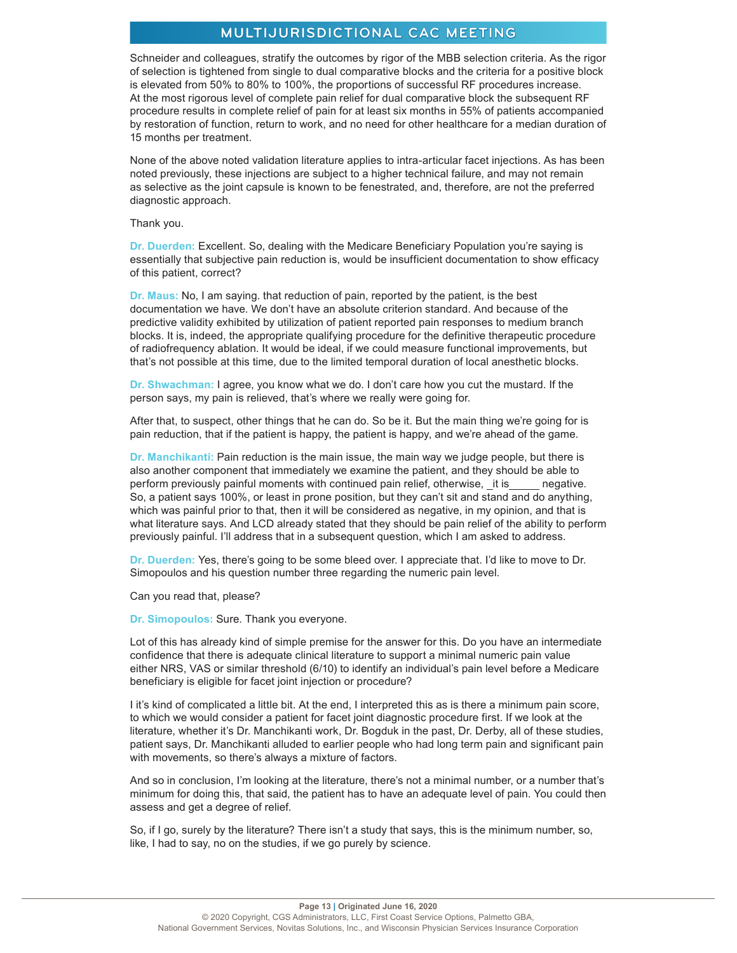Schneider and colleagues, stratify the outcomes by rigor of the MBB selection criteria. As the rigor of selection is tightened from single to dual comparative blocks and the criteria for a positive block is elevated from 50% to 80% to 100%, the proportions of successful RF procedures increase. At the most rigorous level of complete pain relief for dual comparative block the subsequent RF procedure results in complete relief of pain for at least six months in 55% of patients accompanied by restoration of function, return to work, and no need for other healthcare for a median duration of 15 months per treatment.

None of the above noted validation literature applies to intra-articular facet injections. As has been noted previously, these injections are subject to a higher technical failure, and may not remain as selective as the joint capsule is known to be fenestrated, and, therefore, are not the preferred diagnostic approach.

Thank you.

**Dr. Duerden:** Excellent. So, dealing with the Medicare Beneficiary Population you're saying is essentially that subjective pain reduction is, would be insufficient documentation to show efficacy of this patient, correct?

**Dr. Maus:** No, I am saying. that reduction of pain, reported by the patient, is the best documentation we have. We don't have an absolute criterion standard. And because of the predictive validity exhibited by utilization of patient reported pain responses to medium branch blocks. It is, indeed, the appropriate qualifying procedure for the definitive therapeutic procedure of radiofrequency ablation. It would be ideal, if we could measure functional improvements, but that's not possible at this time, due to the limited temporal duration of local anesthetic blocks.

**Dr. Shwachman:** I agree, you know what we do. I don't care how you cut the mustard. If the person says, my pain is relieved, that's where we really were going for.

After that, to suspect, other things that he can do. So be it. But the main thing we're going for is pain reduction, that if the patient is happy, the patient is happy, and we're ahead of the game.

**Dr. Manchikanti:** Pain reduction is the main issue, the main way we judge people, but there is also another component that immediately we examine the patient, and they should be able to perform previously painful moments with continued pain relief, otherwise, it is negative. So, a patient says 100%, or least in prone position, but they can't sit and stand and do anything, which was painful prior to that, then it will be considered as negative, in my opinion, and that is what literature says. And LCD already stated that they should be pain relief of the ability to perform previously painful. I'll address that in a subsequent question, which I am asked to address.

**Dr. Duerden:** Yes, there's going to be some bleed over. I appreciate that. I'd like to move to Dr. Simopoulos and his question number three regarding the numeric pain level.

Can you read that, please?

**Dr. Simopoulos:** Sure. Thank you everyone.

Lot of this has already kind of simple premise for the answer for this. Do you have an intermediate confidence that there is adequate clinical literature to support a minimal numeric pain value either NRS, VAS or similar threshold (6/10) to identify an individual's pain level before a Medicare beneficiary is eligible for facet joint injection or procedure?

I it's kind of complicated a little bit. At the end, I interpreted this as is there a minimum pain score, to which we would consider a patient for facet joint diagnostic procedure first. If we look at the literature, whether it's Dr. Manchikanti work, Dr. Bogduk in the past, Dr. Derby, all of these studies, patient says, Dr. Manchikanti alluded to earlier people who had long term pain and significant pain with movements, so there's always a mixture of factors.

And so in conclusion, I'm looking at the literature, there's not a minimal number, or a number that's minimum for doing this, that said, the patient has to have an adequate level of pain. You could then assess and get a degree of relief.

So, if I go, surely by the literature? There isn't a study that says, this is the minimum number, so, like, I had to say, no on the studies, if we go purely by science.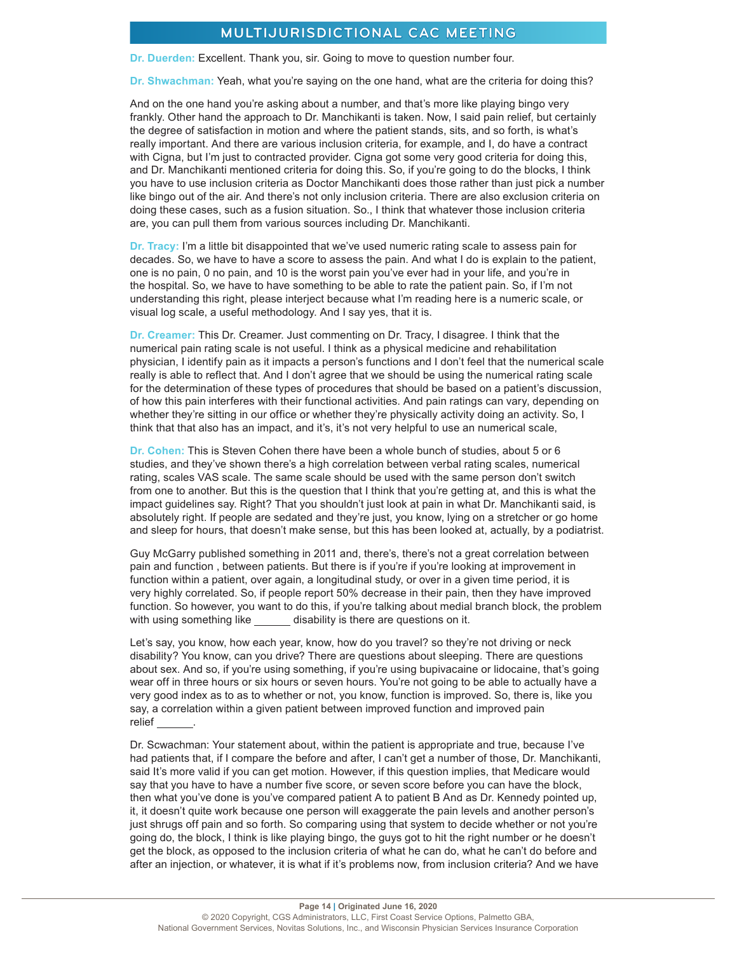**Dr. Duerden:** Excellent. Thank you, sir. Going to move to question number four.

**Dr. Shwachman:** Yeah, what you're saying on the one hand, what are the criteria for doing this?

And on the one hand you're asking about a number, and that's more like playing bingo very frankly. Other hand the approach to Dr. Manchikanti is taken. Now, I said pain relief, but certainly the degree of satisfaction in motion and where the patient stands, sits, and so forth, is what's really important. And there are various inclusion criteria, for example, and I, do have a contract with Cigna, but I'm just to contracted provider. Cigna got some very good criteria for doing this, and Dr. Manchikanti mentioned criteria for doing this. So, if you're going to do the blocks, I think you have to use inclusion criteria as Doctor Manchikanti does those rather than just pick a number like bingo out of the air. And there's not only inclusion criteria. There are also exclusion criteria on doing these cases, such as a fusion situation. So., I think that whatever those inclusion criteria are, you can pull them from various sources including Dr. Manchikanti.

**Dr. Tracy:** I'm a little bit disappointed that we've used numeric rating scale to assess pain for decades. So, we have to have a score to assess the pain. And what I do is explain to the patient, one is no pain, 0 no pain, and 10 is the worst pain you've ever had in your life, and you're in the hospital. So, we have to have something to be able to rate the patient pain. So, if I'm not understanding this right, please interject because what I'm reading here is a numeric scale, or visual log scale, a useful methodology. And I say yes, that it is.

**Dr. Creamer:** This Dr. Creamer. Just commenting on Dr. Tracy, I disagree. I think that the numerical pain rating scale is not useful. I think as a physical medicine and rehabilitation physician, I identify pain as it impacts a person's functions and I don't feel that the numerical scale really is able to reflect that. And I don't agree that we should be using the numerical rating scale for the determination of these types of procedures that should be based on a patient's discussion, of how this pain interferes with their functional activities. And pain ratings can vary, depending on whether they're sitting in our office or whether they're physically activity doing an activity. So, I think that that also has an impact, and it's, it's not very helpful to use an numerical scale,

**Dr. Cohen:** This is Steven Cohen there have been a whole bunch of studies, about 5 or 6 studies, and they've shown there's a high correlation between verbal rating scales, numerical rating, scales VAS scale. The same scale should be used with the same person don't switch from one to another. But this is the question that I think that you're getting at, and this is what the impact guidelines say. Right? That you shouldn't just look at pain in what Dr. Manchikanti said, is absolutely right. If people are sedated and they're just, you know, lying on a stretcher or go home and sleep for hours, that doesn't make sense, but this has been looked at, actually, by a podiatrist.

Guy McGarry published something in 2011 and, there's, there's not a great correlation between pain and function , between patients. But there is if you're if you're looking at improvement in function within a patient, over again, a longitudinal study, or over in a given time period, it is very highly correlated. So, if people report 50% decrease in their pain, then they have improved function. So however, you want to do this, if you're talking about medial branch block, the problem with using something like disability is there are questions on it.

Let's say, you know, how each year, know, how do you travel? so they're not driving or neck disability? You know, can you drive? There are questions about sleeping. There are questions about sex. And so, if you're using something, if you're using bupivacaine or lidocaine, that's going wear off in three hours or six hours or seven hours. You're not going to be able to actually have a very good index as to as to whether or not, you know, function is improved. So, there is, like you say, a correlation within a given patient between improved function and improved pain relief .

Dr. Scwachman: Your statement about, within the patient is appropriate and true, because I've had patients that, if I compare the before and after, I can't get a number of those, Dr. Manchikanti, said It's more valid if you can get motion. However, if this question implies, that Medicare would say that you have to have a number five score, or seven score before you can have the block, then what you've done is you've compared patient A to patient B And as Dr. Kennedy pointed up, it, it doesn't quite work because one person will exaggerate the pain levels and another person's just shrugs off pain and so forth. So comparing using that system to decide whether or not you're going do, the block, I think is like playing bingo, the guys got to hit the right number or he doesn't get the block, as opposed to the inclusion criteria of what he can do, what he can't do before and after an injection, or whatever, it is what if it's problems now, from inclusion criteria? And we have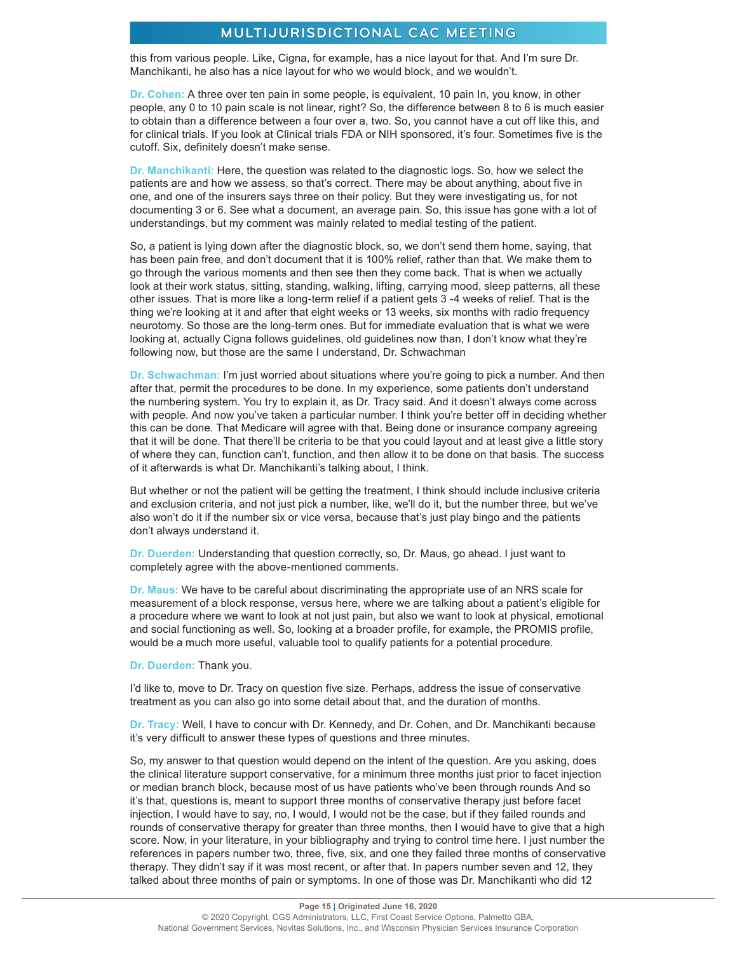this from various people. Like, Cigna, for example, has a nice layout for that. And I'm sure Dr. Manchikanti, he also has a nice layout for who we would block, and we wouldn't.

**Dr. Cohen:** A three over ten pain in some people, is equivalent, 10 pain In, you know, in other people, any 0 to 10 pain scale is not linear, right? So, the difference between 8 to 6 is much easier to obtain than a difference between a four over a, two. So, you cannot have a cut off like this, and for clinical trials. If you look at Clinical trials FDA or NIH sponsored, it's four. Sometimes five is the cutoff. Six, definitely doesn't make sense.

**Dr. Manchikanti:** Here, the question was related to the diagnostic logs. So, how we select the patients are and how we assess, so that's correct. There may be about anything, about five in one, and one of the insurers says three on their policy. But they were investigating us, for not documenting 3 or 6. See what a document, an average pain. So, this issue has gone with a lot of understandings, but my comment was mainly related to medial testing of the patient.

So, a patient is lying down after the diagnostic block, so, we don't send them home, saying, that has been pain free, and don't document that it is 100% relief, rather than that. We make them to go through the various moments and then see then they come back. That is when we actually look at their work status, sitting, standing, walking, lifting, carrying mood, sleep patterns, all these other issues. That is more like a long-term relief if a patient gets 3 -4 weeks of relief. That is the thing we're looking at it and after that eight weeks or 13 weeks, six months with radio frequency neurotomy. So those are the long-term ones. But for immediate evaluation that is what we were looking at, actually Cigna follows guidelines, old guidelines now than, I don't know what they're following now, but those are the same I understand, Dr. Schwachman

**Dr. Schwachman:** I'm just worried about situations where you're going to pick a number. And then after that, permit the procedures to be done. In my experience, some patients don't understand the numbering system. You try to explain it, as Dr. Tracy said. And it doesn't always come across with people. And now you've taken a particular number. I think you're better off in deciding whether this can be done. That Medicare will agree with that. Being done or insurance company agreeing that it will be done. That there'll be criteria to be that you could layout and at least give a little story of where they can, function can't, function, and then allow it to be done on that basis. The success of it afterwards is what Dr. Manchikanti's talking about, I think.

But whether or not the patient will be getting the treatment, I think should include inclusive criteria and exclusion criteria, and not just pick a number, like, we'll do it, but the number three, but we've also won't do it if the number six or vice versa, because that's just play bingo and the patients don't always understand it.

**Dr. Duerden:** Understanding that question correctly, so, Dr. Maus, go ahead. I just want to completely agree with the above-mentioned comments.

**Dr. Maus:** We have to be careful about discriminating the appropriate use of an NRS scale for measurement of a block response, versus here, where we are talking about a patient's eligible for a procedure where we want to look at not just pain, but also we want to look at physical, emotional and social functioning as well. So, looking at a broader profile, for example, the PROMIS profile, would be a much more useful, valuable tool to qualify patients for a potential procedure.

**Dr. Duerden:** Thank you.

I'd like to, move to Dr. Tracy on question five size. Perhaps, address the issue of conservative treatment as you can also go into some detail about that, and the duration of months.

**Dr. Tracy:** Well, I have to concur with Dr. Kennedy, and Dr. Cohen, and Dr. Manchikanti because it's very difficult to answer these types of questions and three minutes.

So, my answer to that question would depend on the intent of the question. Are you asking, does the clinical literature support conservative, for a minimum three months just prior to facet injection or median branch block, because most of us have patients who've been through rounds And so it's that, questions is, meant to support three months of conservative therapy just before facet injection, I would have to say, no, I would, I would not be the case, but if they failed rounds and rounds of conservative therapy for greater than three months, then I would have to give that a high score. Now, in your literature, in your bibliography and trying to control time here. I just number the references in papers number two, three, five, six, and one they failed three months of conservative therapy. They didn't say if it was most recent, or after that. In papers number seven and 12, they talked about three months of pain or symptoms. In one of those was Dr. Manchikanti who did 12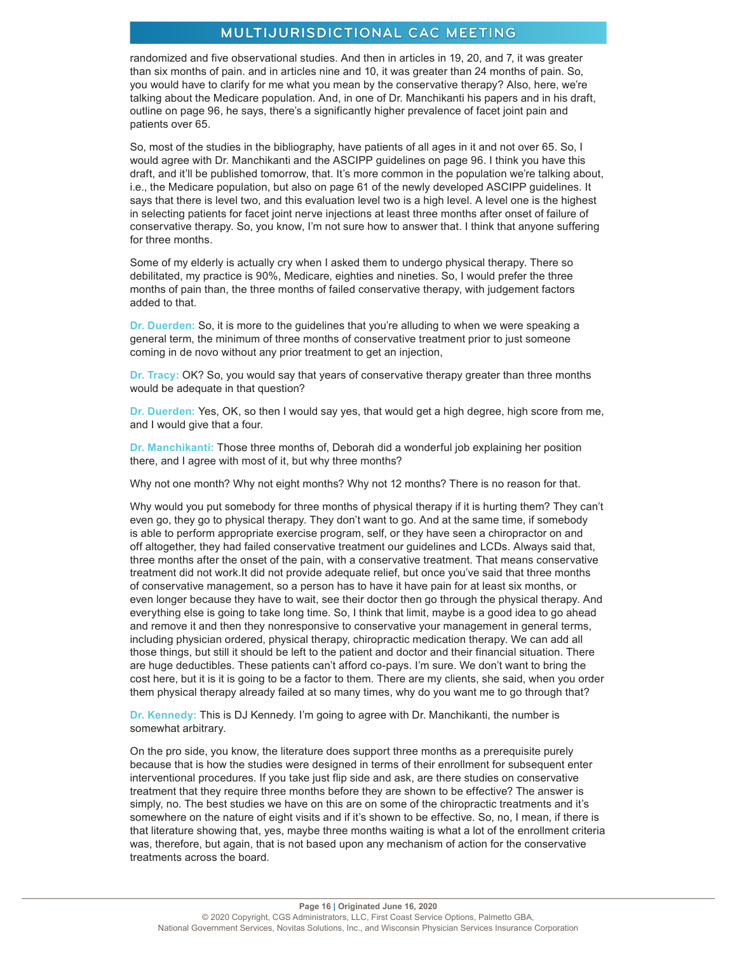randomized and five observational studies. And then in articles in 19, 20, and 7, it was greater than six months of pain. and in articles nine and 10, it was greater than 24 months of pain. So, you would have to clarify for me what you mean by the conservative therapy? Also, here, we're talking about the Medicare population. And, in one of Dr. Manchikanti his papers and in his draft, outline on page 96, he says, there's a significantly higher prevalence of facet joint pain and patients over 65.

So, most of the studies in the bibliography, have patients of all ages in it and not over 65. So, I would agree with Dr. Manchikanti and the ASCIPP guidelines on page 96. I think you have this draft, and it'll be published tomorrow, that. It's more common in the population we're talking about, i.e., the Medicare population, but also on page 61 of the newly developed ASCIPP guidelines. It says that there is level two, and this evaluation level two is a high level. A level one is the highest in selecting patients for facet joint nerve injections at least three months after onset of failure of conservative therapy. So, you know, I'm not sure how to answer that. I think that anyone suffering for three months.

Some of my elderly is actually cry when I asked them to undergo physical therapy. There so debilitated, my practice is 90%, Medicare, eighties and nineties. So, I would prefer the three months of pain than, the three months of failed conservative therapy, with judgement factors added to that.

**Dr. Duerden:** So, it is more to the guidelines that you're alluding to when we were speaking a general term, the minimum of three months of conservative treatment prior to just someone coming in de novo without any prior treatment to get an injection,

**Dr. Tracy:** OK? So, you would say that years of conservative therapy greater than three months would be adequate in that question?

**Dr. Duerden:** Yes, OK, so then I would say yes, that would get a high degree, high score from me, and I would give that a four.

**Dr. Manchikanti:** Those three months of, Deborah did a wonderful job explaining her position there, and I agree with most of it, but why three months?

Why not one month? Why not eight months? Why not 12 months? There is no reason for that.

Why would you put somebody for three months of physical therapy if it is hurting them? They can't even go, they go to physical therapy. They don't want to go. And at the same time, if somebody is able to perform appropriate exercise program, self, or they have seen a chiropractor on and off altogether, they had failed conservative treatment our guidelines and LCDs. Always said that, three months after the onset of the pain, with a conservative treatment. That means conservative treatment did not work.It did not provide adequate relief, but once you've said that three months of conservative management, so a person has to have it have pain for at least six months, or even longer because they have to wait, see their doctor then go through the physical therapy. And everything else is going to take long time. So, I think that limit, maybe is a good idea to go ahead and remove it and then they nonresponsive to conservative your management in general terms, including physician ordered, physical therapy, chiropractic medication therapy. We can add all those things, but still it should be left to the patient and doctor and their financial situation. There are huge deductibles. These patients can't afford co-pays. I'm sure. We don't want to bring the cost here, but it is it is going to be a factor to them. There are my clients, she said, when you order them physical therapy already failed at so many times, why do you want me to go through that?

**Dr. Kennedy:** This is DJ Kennedy. I'm going to agree with Dr. Manchikanti, the number is somewhat arbitrary.

On the pro side, you know, the literature does support three months as a prerequisite purely because that is how the studies were designed in terms of their enrollment for subsequent enter interventional procedures. If you take just flip side and ask, are there studies on conservative treatment that they require three months before they are shown to be effective? The answer is simply, no. The best studies we have on this are on some of the chiropractic treatments and it's somewhere on the nature of eight visits and if it's shown to be effective. So, no, I mean, if there is that literature showing that, yes, maybe three months waiting is what a lot of the enrollment criteria was, therefore, but again, that is not based upon any mechanism of action for the conservative treatments across the board.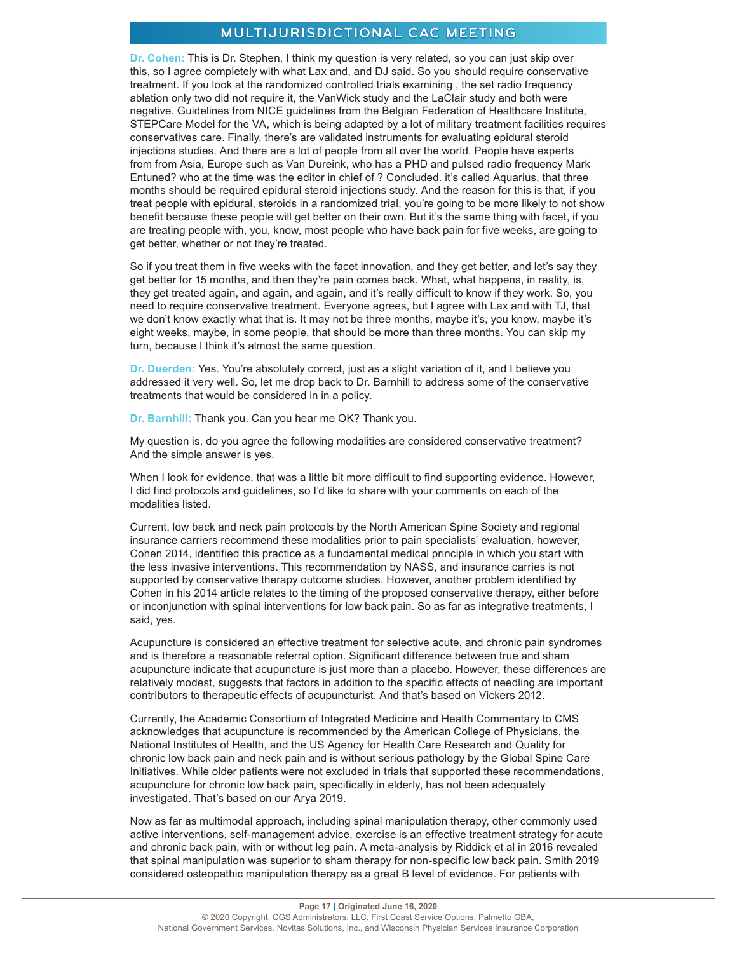**Dr. Cohen:** This is Dr. Stephen, I think my question is very related, so you can just skip over this, so I agree completely with what Lax and, and DJ said. So you should require conservative treatment. If you look at the randomized controlled trials examining , the set radio frequency ablation only two did not require it, the VanWick study and the LaClair study and both were negative. Guidelines from NICE guidelines from the Belgian Federation of Healthcare Institute, STEPCare Model for the VA, which is being adapted by a lot of military treatment facilities requires conservatives care. Finally, there's are validated instruments for evaluating epidural steroid injections studies. And there are a lot of people from all over the world. People have experts from from Asia, Europe such as Van Dureink, who has a PHD and pulsed radio frequency Mark Entuned? who at the time was the editor in chief of ? Concluded. it's called Aquarius, that three months should be required epidural steroid injections study. And the reason for this is that, if you treat people with epidural, steroids in a randomized trial, you're going to be more likely to not show benefit because these people will get better on their own. But it's the same thing with facet, if you are treating people with, you, know, most people who have back pain for five weeks, are going to get better, whether or not they're treated.

So if you treat them in five weeks with the facet innovation, and they get better, and let's say they get better for 15 months, and then they're pain comes back. What, what happens, in reality, is, they get treated again, and again, and again, and it's really difficult to know if they work. So, you need to require conservative treatment. Everyone agrees, but I agree with Lax and with TJ, that we don't know exactly what that is. It may not be three months, maybe it's, you know, maybe it's eight weeks, maybe, in some people, that should be more than three months. You can skip my turn, because I think it's almost the same question.

**Dr. Duerden:** Yes. You're absolutely correct, just as a slight variation of it, and I believe you addressed it very well. So, let me drop back to Dr. Barnhill to address some of the conservative treatments that would be considered in in a policy.

**Dr. Barnhill:** Thank you. Can you hear me OK? Thank you.

My question is, do you agree the following modalities are considered conservative treatment? And the simple answer is yes.

When I look for evidence, that was a little bit more difficult to find supporting evidence. However, I did find protocols and guidelines, so I'd like to share with your comments on each of the modalities listed.

Current, low back and neck pain protocols by the North American Spine Society and regional insurance carriers recommend these modalities prior to pain specialists' evaluation, however, Cohen 2014, identified this practice as a fundamental medical principle in which you start with the less invasive interventions. This recommendation by NASS, and insurance carries is not supported by conservative therapy outcome studies. However, another problem identified by Cohen in his 2014 article relates to the timing of the proposed conservative therapy, either before or inconjunction with spinal interventions for low back pain. So as far as integrative treatments, I said, yes.

Acupuncture is considered an effective treatment for selective acute, and chronic pain syndromes and is therefore a reasonable referral option. Significant difference between true and sham acupuncture indicate that acupuncture is just more than a placebo. However, these differences are relatively modest, suggests that factors in addition to the specific effects of needling are important contributors to therapeutic effects of acupuncturist. And that's based on Vickers 2012.

Currently, the Academic Consortium of Integrated Medicine and Health Commentary to CMS acknowledges that acupuncture is recommended by the American College of Physicians, the National Institutes of Health, and the US Agency for Health Care Research and Quality for chronic low back pain and neck pain and is without serious pathology by the Global Spine Care Initiatives. While older patients were not excluded in trials that supported these recommendations, acupuncture for chronic low back pain, specifically in elderly, has not been adequately investigated. That's based on our Arya 2019.

Now as far as multimodal approach, including spinal manipulation therapy, other commonly used active interventions, self-management advice, exercise is an effective treatment strategy for acute and chronic back pain, with or without leg pain. A meta-analysis by Riddick et al in 2016 revealed that spinal manipulation was superior to sham therapy for non-specific low back pain. Smith 2019 considered osteopathic manipulation therapy as a great B level of evidence. For patients with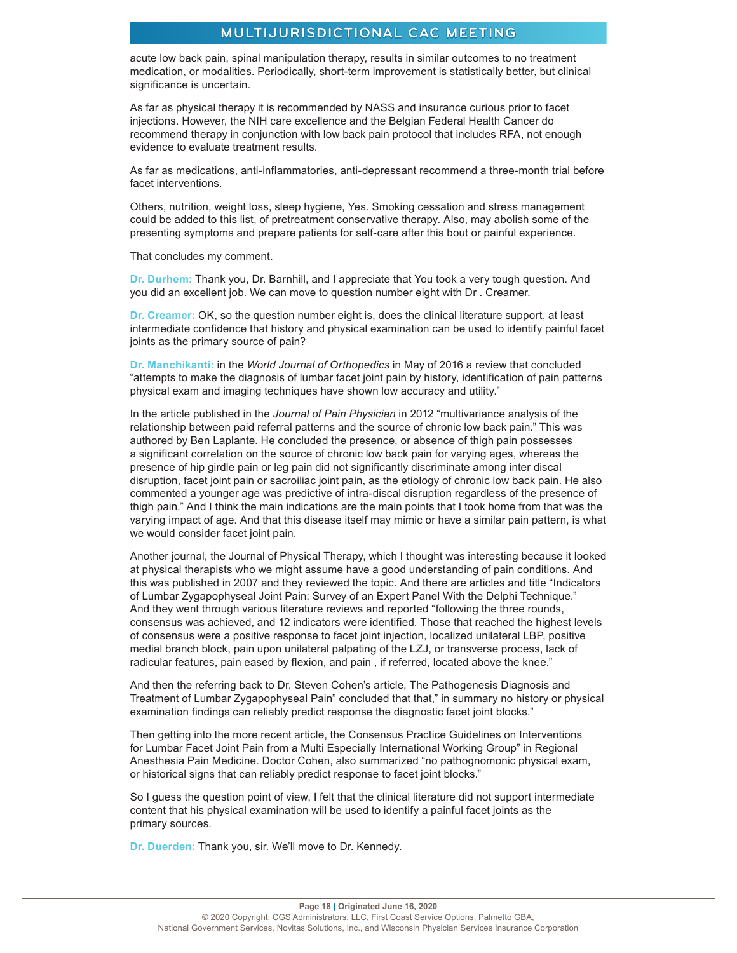acute low back pain, spinal manipulation therapy, results in similar outcomes to no treatment medication, or modalities. Periodically, short-term improvement is statistically better, but clinical significance is uncertain.

As far as physical therapy it is recommended by NASS and insurance curious prior to facet injections. However, the NIH care excellence and the Belgian Federal Health Cancer do recommend therapy in conjunction with low back pain protocol that includes RFA, not enough evidence to evaluate treatment results.

As far as medications, anti-inflammatories, anti-depressant recommend a three-month trial before facet interventions.

Others, nutrition, weight loss, sleep hygiene, Yes. Smoking cessation and stress management could be added to this list, of pretreatment conservative therapy. Also, may abolish some of the presenting symptoms and prepare patients for self-care after this bout or painful experience.

That concludes my comment.

**Dr. Durhem:** Thank you, Dr. Barnhill, and I appreciate that You took a very tough question. And you did an excellent job. We can move to question number eight with Dr . Creamer.

**Dr. Creamer:** OK, so the question number eight is, does the clinical literature support, at least intermediate confidence that history and physical examination can be used to identify painful facet joints as the primary source of pain?

**Dr. Manchikanti:** in the *World Journal of Orthopedics* in May of 2016 a review that concluded "attempts to make the diagnosis of lumbar facet joint pain by history, identification of pain patterns physical exam and imaging techniques have shown low accuracy and utility."

In the article published in the *Journal of Pain Physician* in 2012 "multivariance analysis of the relationship between paid referral patterns and the source of chronic low back pain." This was authored by Ben Laplante. He concluded the presence, or absence of thigh pain possesses a significant correlation on the source of chronic low back pain for varying ages, whereas the presence of hip girdle pain or leg pain did not significantly discriminate among inter discal disruption, facet joint pain or sacroiliac joint pain, as the etiology of chronic low back pain. He also commented a younger age was predictive of intra-discal disruption regardless of the presence of thigh pain." And I think the main indications are the main points that I took home from that was the varying impact of age. And that this disease itself may mimic or have a similar pain pattern, is what we would consider facet joint pain.

Another journal, the Journal of Physical Therapy, which I thought was interesting because it looked at physical therapists who we might assume have a good understanding of pain conditions. And this was published in 2007 and they reviewed the topic. And there are articles and title "Indicators of Lumbar Zygapophyseal Joint Pain: Survey of an Expert Panel With the Delphi Technique." And they went through various literature reviews and reported "following the three rounds, consensus was achieved, and 12 indicators were identified. Those that reached the highest levels of consensus were a positive response to facet joint injection, localized unilateral LBP, positive medial branch block, pain upon unilateral palpating of the LZJ, or transverse process, lack of radicular features, pain eased by flexion, and pain , if referred, located above the knee."

And then the referring back to Dr. Steven Cohen's article, The Pathogenesis Diagnosis and Treatment of Lumbar Zygapophyseal Pain" concluded that that," in summary no history or physical examination findings can reliably predict response the diagnostic facet joint blocks."

Then getting into the more recent article, the Consensus Practice Guidelines on Interventions for Lumbar Facet Joint Pain from a Multi Especially International Working Group" in Regional Anesthesia Pain Medicine. Doctor Cohen, also summarized "no pathognomonic physical exam, or historical signs that can reliably predict response to facet joint blocks."

So I guess the question point of view, I felt that the clinical literature did not support intermediate content that his physical examination will be used to identify a painful facet joints as the primary sources.

**Dr. Duerden:** Thank you, sir. We'll move to Dr. Kennedy.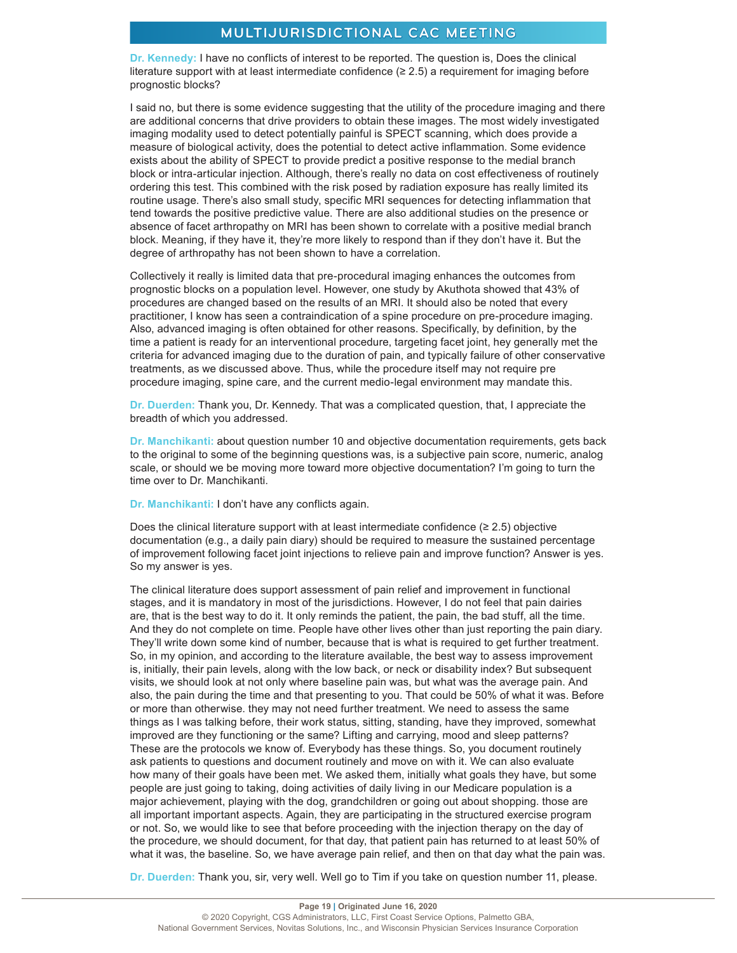**Dr. Kennedy:** I have no conflicts of interest to be reported. The question is, Does the clinical literature support with at least intermediate confidence (≥ 2.5) a requirement for imaging before prognostic blocks?

I said no, but there is some evidence suggesting that the utility of the procedure imaging and there are additional concerns that drive providers to obtain these images. The most widely investigated imaging modality used to detect potentially painful is SPECT scanning, which does provide a measure of biological activity, does the potential to detect active inflammation. Some evidence exists about the ability of SPECT to provide predict a positive response to the medial branch block or intra-articular injection. Although, there's really no data on cost effectiveness of routinely ordering this test. This combined with the risk posed by radiation exposure has really limited its routine usage. There's also small study, specific MRI sequences for detecting inflammation that tend towards the positive predictive value. There are also additional studies on the presence or absence of facet arthropathy on MRI has been shown to correlate with a positive medial branch block. Meaning, if they have it, they're more likely to respond than if they don't have it. But the degree of arthropathy has not been shown to have a correlation.

Collectively it really is limited data that pre-procedural imaging enhances the outcomes from prognostic blocks on a population level. However, one study by Akuthota showed that 43% of procedures are changed based on the results of an MRI. It should also be noted that every practitioner, I know has seen a contraindication of a spine procedure on pre-procedure imaging. Also, advanced imaging is often obtained for other reasons. Specifically, by definition, by the time a patient is ready for an interventional procedure, targeting facet joint, hey generally met the criteria for advanced imaging due to the duration of pain, and typically failure of other conservative treatments, as we discussed above. Thus, while the procedure itself may not require pre procedure imaging, spine care, and the current medio-legal environment may mandate this.

**Dr. Duerden:** Thank you, Dr. Kennedy. That was a complicated question, that, I appreciate the breadth of which you addressed.

**Dr. Manchikanti:** about question number 10 and objective documentation requirements, gets back to the original to some of the beginning questions was, is a subjective pain score, numeric, analog scale, or should we be moving more toward more objective documentation? I'm going to turn the time over to Dr. Manchikanti.

**Dr. Manchikanti:** I don't have any conflicts again.

Does the clinical literature support with at least intermediate confidence  $(≥ 2.5)$  objective documentation (e.g., a daily pain diary) should be required to measure the sustained percentage of improvement following facet joint injections to relieve pain and improve function? Answer is yes. So my answer is yes.

The clinical literature does support assessment of pain relief and improvement in functional stages, and it is mandatory in most of the jurisdictions. However, I do not feel that pain dairies are, that is the best way to do it. It only reminds the patient, the pain, the bad stuff, all the time. And they do not complete on time. People have other lives other than just reporting the pain diary. They'll write down some kind of number, because that is what is required to get further treatment. So, in my opinion, and according to the literature available, the best way to assess improvement is, initially, their pain levels, along with the low back, or neck or disability index? But subsequent visits, we should look at not only where baseline pain was, but what was the average pain. And also, the pain during the time and that presenting to you. That could be 50% of what it was. Before or more than otherwise. they may not need further treatment. We need to assess the same things as I was talking before, their work status, sitting, standing, have they improved, somewhat improved are they functioning or the same? Lifting and carrying, mood and sleep patterns? These are the protocols we know of. Everybody has these things. So, you document routinely ask patients to questions and document routinely and move on with it. We can also evaluate how many of their goals have been met. We asked them, initially what goals they have, but some people are just going to taking, doing activities of daily living in our Medicare population is a major achievement, playing with the dog, grandchildren or going out about shopping. those are all important important aspects. Again, they are participating in the structured exercise program or not. So, we would like to see that before proceeding with the injection therapy on the day of the procedure, we should document, for that day, that patient pain has returned to at least 50% of what it was, the baseline. So, we have average pain relief, and then on that day what the pain was.

**Dr. Duerden:** Thank you, sir, very well. Well go to Tim if you take on question number 11, please.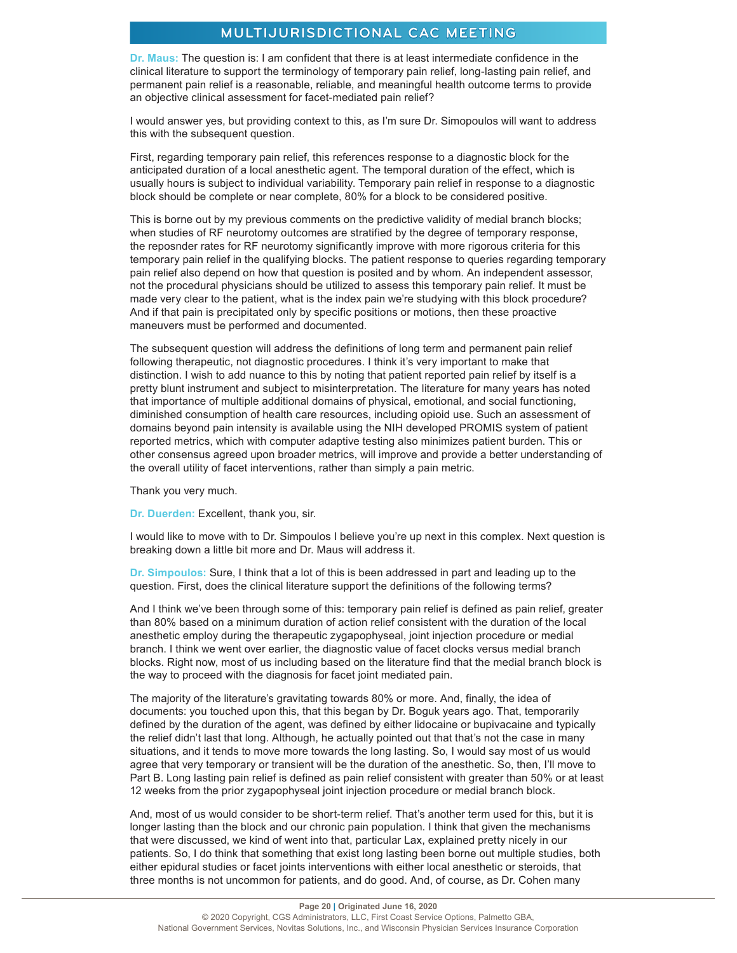**Dr. Maus:** The question is: I am confident that there is at least intermediate confidence in the clinical literature to support the terminology of temporary pain relief, long-lasting pain relief, and permanent pain relief is a reasonable, reliable, and meaningful health outcome terms to provide an objective clinical assessment for facet-mediated pain relief?

I would answer yes, but providing context to this, as I'm sure Dr. Simopoulos will want to address this with the subsequent question.

First, regarding temporary pain relief, this references response to a diagnostic block for the anticipated duration of a local anesthetic agent. The temporal duration of the effect, which is usually hours is subject to individual variability. Temporary pain relief in response to a diagnostic block should be complete or near complete, 80% for a block to be considered positive.

This is borne out by my previous comments on the predictive validity of medial branch blocks; when studies of RF neurotomy outcomes are stratified by the degree of temporary response, the reposnder rates for RF neurotomy significantly improve with more rigorous criteria for this temporary pain relief in the qualifying blocks. The patient response to queries regarding temporary pain relief also depend on how that question is posited and by whom. An independent assessor, not the procedural physicians should be utilized to assess this temporary pain relief. It must be made very clear to the patient, what is the index pain we're studying with this block procedure? And if that pain is precipitated only by specific positions or motions, then these proactive maneuvers must be performed and documented.

The subsequent question will address the definitions of long term and permanent pain relief following therapeutic, not diagnostic procedures. I think it's very important to make that distinction. I wish to add nuance to this by noting that patient reported pain relief by itself is a pretty blunt instrument and subject to misinterpretation. The literature for many years has noted that importance of multiple additional domains of physical, emotional, and social functioning, diminished consumption of health care resources, including opioid use. Such an assessment of domains beyond pain intensity is available using the NIH developed PROMIS system of patient reported metrics, which with computer adaptive testing also minimizes patient burden. This or other consensus agreed upon broader metrics, will improve and provide a better understanding of the overall utility of facet interventions, rather than simply a pain metric.

Thank you very much.

**Dr. Duerden:** Excellent, thank you, sir.

I would like to move with to Dr. Simpoulos I believe you're up next in this complex. Next question is breaking down a little bit more and Dr. Maus will address it.

**Dr. Simpoulos:** Sure, I think that a lot of this is been addressed in part and leading up to the question. First, does the clinical literature support the definitions of the following terms?

And I think we've been through some of this: temporary pain relief is defined as pain relief, greater than 80% based on a minimum duration of action relief consistent with the duration of the local anesthetic employ during the therapeutic zygapophyseal, joint injection procedure or medial branch. I think we went over earlier, the diagnostic value of facet clocks versus medial branch blocks. Right now, most of us including based on the literature find that the medial branch block is the way to proceed with the diagnosis for facet joint mediated pain.

The majority of the literature's gravitating towards 80% or more. And, finally, the idea of documents: you touched upon this, that this began by Dr. Boguk years ago. That, temporarily defined by the duration of the agent, was defined by either lidocaine or bupivacaine and typically the relief didn't last that long. Although, he actually pointed out that that's not the case in many situations, and it tends to move more towards the long lasting. So, I would say most of us would agree that very temporary or transient will be the duration of the anesthetic. So, then, I'll move to Part B. Long lasting pain relief is defined as pain relief consistent with greater than 50% or at least 12 weeks from the prior zygapophyseal joint injection procedure or medial branch block.

And, most of us would consider to be short-term relief. That's another term used for this, but it is longer lasting than the block and our chronic pain population. I think that given the mechanisms that were discussed, we kind of went into that, particular Lax, explained pretty nicely in our patients. So, I do think that something that exist long lasting been borne out multiple studies, both either epidural studies or facet joints interventions with either local anesthetic or steroids, that three months is not uncommon for patients, and do good. And, of course, as Dr. Cohen many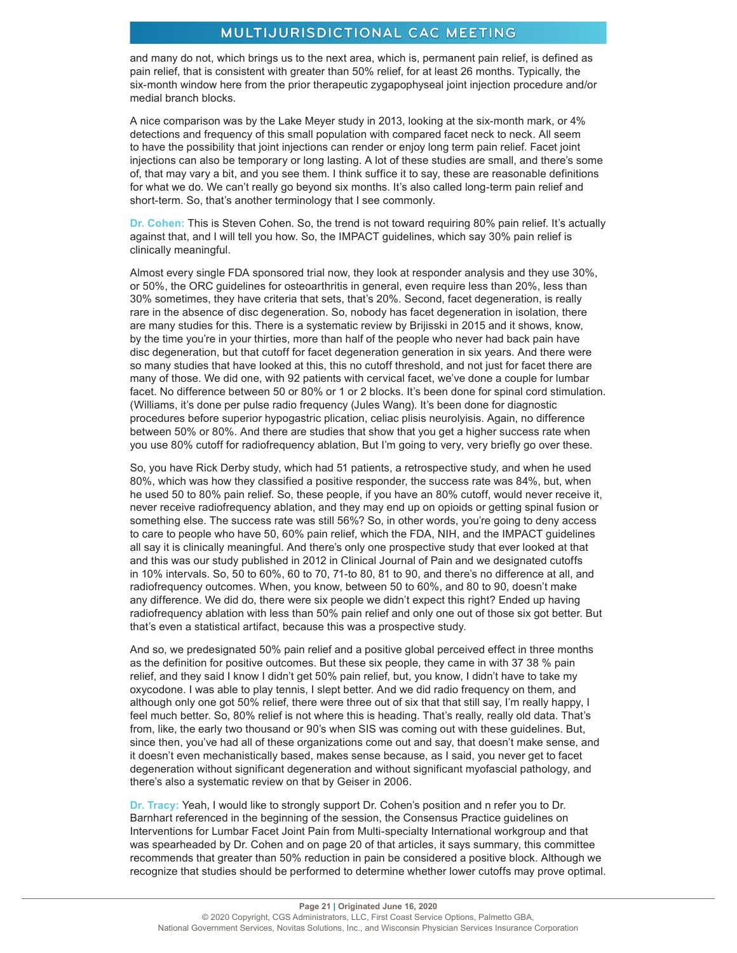and many do not, which brings us to the next area, which is, permanent pain relief, is defined as pain relief, that is consistent with greater than 50% relief, for at least 26 months. Typically, the six-month window here from the prior therapeutic zygapophyseal joint injection procedure and/or medial branch blocks.

A nice comparison was by the Lake Meyer study in 2013, looking at the six-month mark, or 4% detections and frequency of this small population with compared facet neck to neck. All seem to have the possibility that joint injections can render or enjoy long term pain relief. Facet joint injections can also be temporary or long lasting. A lot of these studies are small, and there's some of, that may vary a bit, and you see them. I think suffice it to say, these are reasonable definitions for what we do. We can't really go beyond six months. It's also called long-term pain relief and short-term. So, that's another terminology that I see commonly.

**Dr. Cohen:** This is Steven Cohen. So, the trend is not toward requiring 80% pain relief. It's actually against that, and I will tell you how. So, the IMPACT guidelines, which say 30% pain relief is clinically meaningful.

Almost every single FDA sponsored trial now, they look at responder analysis and they use 30%, or 50%, the ORC guidelines for osteoarthritis in general, even require less than 20%, less than 30% sometimes, they have criteria that sets, that's 20%. Second, facet degeneration, is really rare in the absence of disc degeneration. So, nobody has facet degeneration in isolation, there are many studies for this. There is a systematic review by Brijisski in 2015 and it shows, know, by the time you're in your thirties, more than half of the people who never had back pain have disc degeneration, but that cutoff for facet degeneration generation in six years. And there were so many studies that have looked at this, this no cutoff threshold, and not just for facet there are many of those. We did one, with 92 patients with cervical facet, we've done a couple for lumbar facet. No difference between 50 or 80% or 1 or 2 blocks. It's been done for spinal cord stimulation. (Williams, it's done per pulse radio frequency (Jules Wang). It's been done for diagnostic procedures before superior hypogastric plication, celiac plisis neurolyisis. Again, no difference between 50% or 80%. And there are studies that show that you get a higher success rate when you use 80% cutoff for radiofrequency ablation, But I'm going to very, very briefly go over these.

So, you have Rick Derby study, which had 51 patients, a retrospective study, and when he used 80%, which was how they classified a positive responder, the success rate was 84%, but, when he used 50 to 80% pain relief. So, these people, if you have an 80% cutoff, would never receive it, never receive radiofrequency ablation, and they may end up on opioids or getting spinal fusion or something else. The success rate was still 56%? So, in other words, you're going to deny access to care to people who have 50, 60% pain relief, which the FDA, NIH, and the IMPACT guidelines all say it is clinically meaningful. And there's only one prospective study that ever looked at that and this was our study published in 2012 in Clinical Journal of Pain and we designated cutoffs in 10% intervals. So, 50 to 60%, 60 to 70, 71-to 80, 81 to 90, and there's no difference at all, and radiofrequency outcomes. When, you know, between 50 to 60%, and 80 to 90, doesn't make any difference. We did do, there were six people we didn't expect this right? Ended up having radiofrequency ablation with less than 50% pain relief and only one out of those six got better. But that's even a statistical artifact, because this was a prospective study.

And so, we predesignated 50% pain relief and a positive global perceived effect in three months as the definition for positive outcomes. But these six people, they came in with 37 38 % pain relief, and they said I know I didn't get 50% pain relief, but, you know, I didn't have to take my oxycodone. I was able to play tennis, I slept better. And we did radio frequency on them, and although only one got 50% relief, there were three out of six that that still say, I'm really happy, I feel much better. So, 80% relief is not where this is heading. That's really, really old data. That's from, like, the early two thousand or 90's when SIS was coming out with these guidelines. But, since then, you've had all of these organizations come out and say, that doesn't make sense, and it doesn't even mechanistically based, makes sense because, as I said, you never get to facet degeneration without significant degeneration and without significant myofascial pathology, and there's also a systematic review on that by Geiser in 2006.

**Dr. Tracy:** Yeah, I would like to strongly support Dr. Cohen's position and n refer you to Dr. Barnhart referenced in the beginning of the session, the Consensus Practice guidelines on Interventions for Lumbar Facet Joint Pain from Multi-specialty International workgroup and that was spearheaded by Dr. Cohen and on page 20 of that articles, it says summary, this committee recommends that greater than 50% reduction in pain be considered a positive block. Although we recognize that studies should be performed to determine whether lower cutoffs may prove optimal.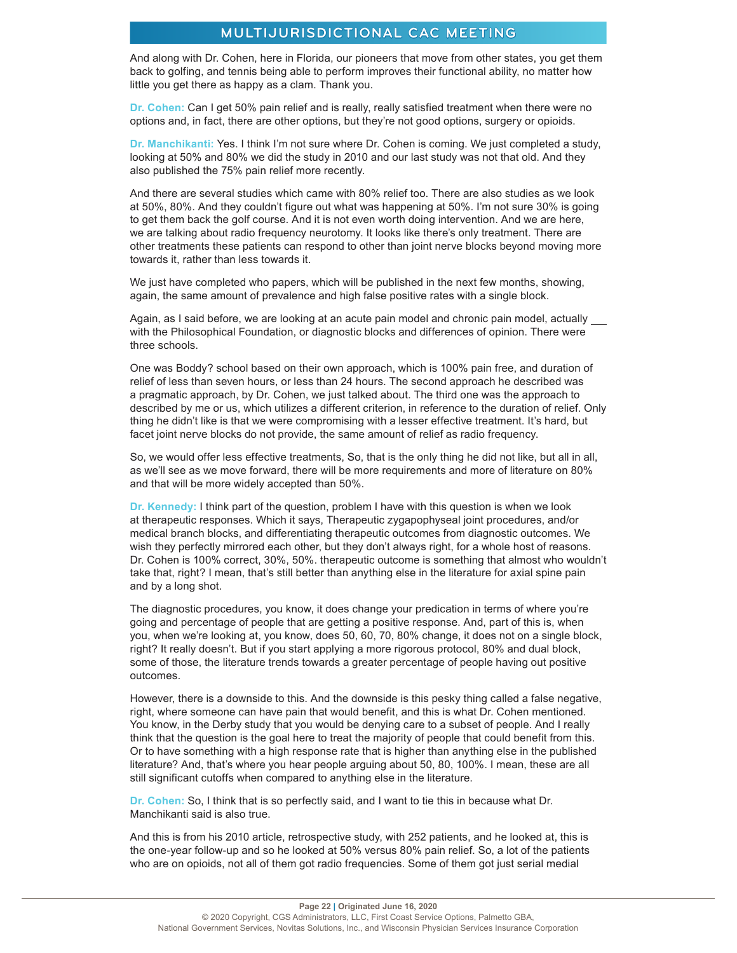And along with Dr. Cohen, here in Florida, our pioneers that move from other states, you get them back to golfing, and tennis being able to perform improves their functional ability, no matter how little you get there as happy as a clam. Thank you.

**Dr. Cohen:** Can I get 50% pain relief and is really, really satisfied treatment when there were no options and, in fact, there are other options, but they're not good options, surgery or opioids.

**Dr. Manchikanti:** Yes. I think I'm not sure where Dr. Cohen is coming. We just completed a study, looking at 50% and 80% we did the study in 2010 and our last study was not that old. And they also published the 75% pain relief more recently.

And there are several studies which came with 80% relief too. There are also studies as we look at 50%, 80%. And they couldn't figure out what was happening at 50%. I'm not sure 30% is going to get them back the golf course. And it is not even worth doing intervention. And we are here, we are talking about radio frequency neurotomy. It looks like there's only treatment. There are other treatments these patients can respond to other than joint nerve blocks beyond moving more towards it, rather than less towards it.

We just have completed who papers, which will be published in the next few months, showing, again, the same amount of prevalence and high false positive rates with a single block.

Again, as I said before, we are looking at an acute pain model and chronic pain model, actually with the Philosophical Foundation, or diagnostic blocks and differences of opinion. There were three schools.

One was Boddy? school based on their own approach, which is 100% pain free, and duration of relief of less than seven hours, or less than 24 hours. The second approach he described was a pragmatic approach, by Dr. Cohen, we just talked about. The third one was the approach to described by me or us, which utilizes a different criterion, in reference to the duration of relief. Only thing he didn't like is that we were compromising with a lesser effective treatment. It's hard, but facet joint nerve blocks do not provide, the same amount of relief as radio frequency.

So, we would offer less effective treatments, So, that is the only thing he did not like, but all in all, as we'll see as we move forward, there will be more requirements and more of literature on 80% and that will be more widely accepted than 50%.

**Dr. Kennedy:** I think part of the question, problem I have with this question is when we look at therapeutic responses. Which it says, Therapeutic zygapophyseal joint procedures, and/or medical branch blocks, and differentiating therapeutic outcomes from diagnostic outcomes. We wish they perfectly mirrored each other, but they don't always right, for a whole host of reasons. Dr. Cohen is 100% correct, 30%, 50%. therapeutic outcome is something that almost who wouldn't take that, right? I mean, that's still better than anything else in the literature for axial spine pain and by a long shot.

The diagnostic procedures, you know, it does change your predication in terms of where you're going and percentage of people that are getting a positive response. And, part of this is, when you, when we're looking at, you know, does 50, 60, 70, 80% change, it does not on a single block, right? It really doesn't. But if you start applying a more rigorous protocol, 80% and dual block, some of those, the literature trends towards a greater percentage of people having out positive outcomes.

However, there is a downside to this. And the downside is this pesky thing called a false negative, right, where someone can have pain that would benefit, and this is what Dr. Cohen mentioned. You know, in the Derby study that you would be denying care to a subset of people. And I really think that the question is the goal here to treat the majority of people that could benefit from this. Or to have something with a high response rate that is higher than anything else in the published literature? And, that's where you hear people arguing about 50, 80, 100%. I mean, these are all still significant cutoffs when compared to anything else in the literature.

**Dr. Cohen:** So, I think that is so perfectly said, and I want to tie this in because what Dr. Manchikanti said is also true.

And this is from his 2010 article, retrospective study, with 252 patients, and he looked at, this is the one-year follow-up and so he looked at 50% versus 80% pain relief. So, a lot of the patients who are on opioids, not all of them got radio frequencies. Some of them got just serial medial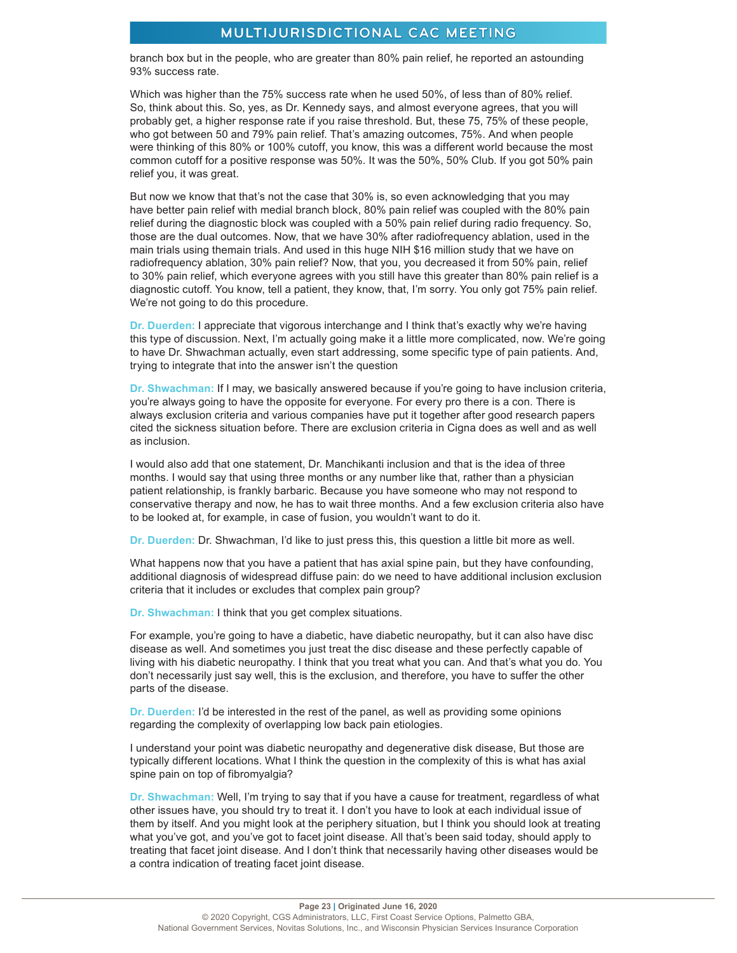branch box but in the people, who are greater than 80% pain relief, he reported an astounding 93% success rate.

Which was higher than the 75% success rate when he used 50%, of less than of 80% relief. So, think about this. So, yes, as Dr. Kennedy says, and almost everyone agrees, that you will probably get, a higher response rate if you raise threshold. But, these 75, 75% of these people, who got between 50 and 79% pain relief. That's amazing outcomes, 75%. And when people were thinking of this 80% or 100% cutoff, you know, this was a different world because the most common cutoff for a positive response was 50%. It was the 50%, 50% Club. If you got 50% pain relief you, it was great.

But now we know that that's not the case that 30% is, so even acknowledging that you may have better pain relief with medial branch block, 80% pain relief was coupled with the 80% pain relief during the diagnostic block was coupled with a 50% pain relief during radio frequency. So, those are the dual outcomes. Now, that we have 30% after radiofrequency ablation, used in the main trials using themain trials. And used in this huge NIH \$16 million study that we have on radiofrequency ablation, 30% pain relief? Now, that you, you decreased it from 50% pain, relief to 30% pain relief, which everyone agrees with you still have this greater than 80% pain relief is a diagnostic cutoff. You know, tell a patient, they know, that, I'm sorry. You only got 75% pain relief. We're not going to do this procedure.

**Dr. Duerden:** I appreciate that vigorous interchange and I think that's exactly why we're having this type of discussion. Next, I'm actually going make it a little more complicated, now. We're going to have Dr. Shwachman actually, even start addressing, some specific type of pain patients. And, trying to integrate that into the answer isn't the question

**Dr. Shwachman:** If I may, we basically answered because if you're going to have inclusion criteria, you're always going to have the opposite for everyone. For every pro there is a con. There is always exclusion criteria and various companies have put it together after good research papers cited the sickness situation before. There are exclusion criteria in Cigna does as well and as well as inclusion.

I would also add that one statement, Dr. Manchikanti inclusion and that is the idea of three months. I would say that using three months or any number like that, rather than a physician patient relationship, is frankly barbaric. Because you have someone who may not respond to conservative therapy and now, he has to wait three months. And a few exclusion criteria also have to be looked at, for example, in case of fusion, you wouldn't want to do it.

**Dr. Duerden:** Dr. Shwachman, I'd like to just press this, this question a little bit more as well.

What happens now that you have a patient that has axial spine pain, but they have confounding, additional diagnosis of widespread diffuse pain: do we need to have additional inclusion exclusion criteria that it includes or excludes that complex pain group?

**Dr. Shwachman:** I think that you get complex situations.

For example, you're going to have a diabetic, have diabetic neuropathy, but it can also have disc disease as well. And sometimes you just treat the disc disease and these perfectly capable of living with his diabetic neuropathy. I think that you treat what you can. And that's what you do. You don't necessarily just say well, this is the exclusion, and therefore, you have to suffer the other parts of the disease.

**Dr. Duerden:** I'd be interested in the rest of the panel, as well as providing some opinions regarding the complexity of overlapping low back pain etiologies.

I understand your point was diabetic neuropathy and degenerative disk disease, But those are typically different locations. What I think the question in the complexity of this is what has axial spine pain on top of fibromyalgia?

**Dr. Shwachman:** Well, I'm trying to say that if you have a cause for treatment, regardless of what other issues have, you should try to treat it. I don't you have to look at each individual issue of them by itself. And you might look at the periphery situation, but I think you should look at treating what you've got, and you've got to facet joint disease. All that's been said today, should apply to treating that facet joint disease. And I don't think that necessarily having other diseases would be a contra indication of treating facet joint disease.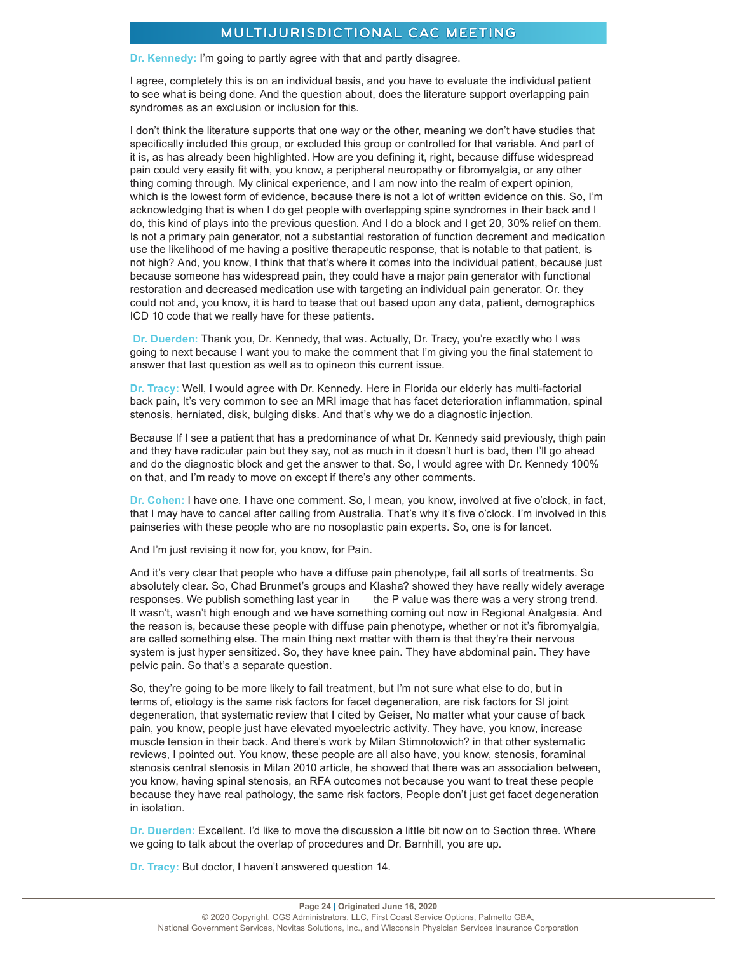**Dr. Kennedy:** I'm going to partly agree with that and partly disagree.

I agree, completely this is on an individual basis, and you have to evaluate the individual patient to see what is being done. And the question about, does the literature support overlapping pain syndromes as an exclusion or inclusion for this.

I don't think the literature supports that one way or the other, meaning we don't have studies that specifically included this group, or excluded this group or controlled for that variable. And part of it is, as has already been highlighted. How are you defining it, right, because diffuse widespread pain could very easily fit with, you know, a peripheral neuropathy or fibromyalgia, or any other thing coming through. My clinical experience, and I am now into the realm of expert opinion, which is the lowest form of evidence, because there is not a lot of written evidence on this. So, I'm acknowledging that is when I do get people with overlapping spine syndromes in their back and I do, this kind of plays into the previous question. And I do a block and I get 20, 30% relief on them. Is not a primary pain generator, not a substantial restoration of function decrement and medication use the likelihood of me having a positive therapeutic response, that is notable to that patient, is not high? And, you know, I think that that's where it comes into the individual patient, because just because someone has widespread pain, they could have a major pain generator with functional restoration and decreased medication use with targeting an individual pain generator. Or. they could not and, you know, it is hard to tease that out based upon any data, patient, demographics ICD 10 code that we really have for these patients.

**Dr. Duerden:** Thank you, Dr. Kennedy, that was. Actually, Dr. Tracy, you're exactly who I was going to next because I want you to make the comment that I'm giving you the final statement to answer that last question as well as to opineon this current issue.

**Dr. Tracy:** Well, I would agree with Dr. Kennedy. Here in Florida our elderly has multi-factorial back pain, It's very common to see an MRI image that has facet deterioration inflammation, spinal stenosis, herniated, disk, bulging disks. And that's why we do a diagnostic injection.

Because If I see a patient that has a predominance of what Dr. Kennedy said previously, thigh pain and they have radicular pain but they say, not as much in it doesn't hurt is bad, then I'll go ahead and do the diagnostic block and get the answer to that. So, I would agree with Dr. Kennedy 100% on that, and I'm ready to move on except if there's any other comments.

**Dr. Cohen:** I have one. I have one comment. So, I mean, you know, involved at five o'clock, in fact, that I may have to cancel after calling from Australia. That's why it's five o'clock. I'm involved in this painseries with these people who are no nosoplastic pain experts. So, one is for lancet.

And I'm just revising it now for, you know, for Pain.

And it's very clear that people who have a diffuse pain phenotype, fail all sorts of treatments. So absolutely clear. So, Chad Brunmet's groups and Klasha? showed they have really widely average responses. We publish something last year in \_\_ the P value was there was a very strong trend. It wasn't, wasn't high enough and we have something coming out now in Regional Analgesia. And the reason is, because these people with diffuse pain phenotype, whether or not it's fibromyalgia, are called something else. The main thing next matter with them is that they're their nervous system is just hyper sensitized. So, they have knee pain. They have abdominal pain. They have pelvic pain. So that's a separate question.

So, they're going to be more likely to fail treatment, but I'm not sure what else to do, but in terms of, etiology is the same risk factors for facet degeneration, are risk factors for SI joint degeneration, that systematic review that I cited by Geiser, No matter what your cause of back pain, you know, people just have elevated myoelectric activity. They have, you know, increase muscle tension in their back. And there's work by Milan Stimnotowich? in that other systematic reviews, I pointed out. You know, these people are all also have, you know, stenosis, foraminal stenosis central stenosis in Milan 2010 article, he showed that there was an association between, you know, having spinal stenosis, an RFA outcomes not because you want to treat these people because they have real pathology, the same risk factors, People don't just get facet degeneration in isolation.

**Dr. Duerden:** Excellent. I'd like to move the discussion a little bit now on to Section three. Where we going to talk about the overlap of procedures and Dr. Barnhill, you are up.

**Dr. Tracy:** But doctor, I haven't answered question 14.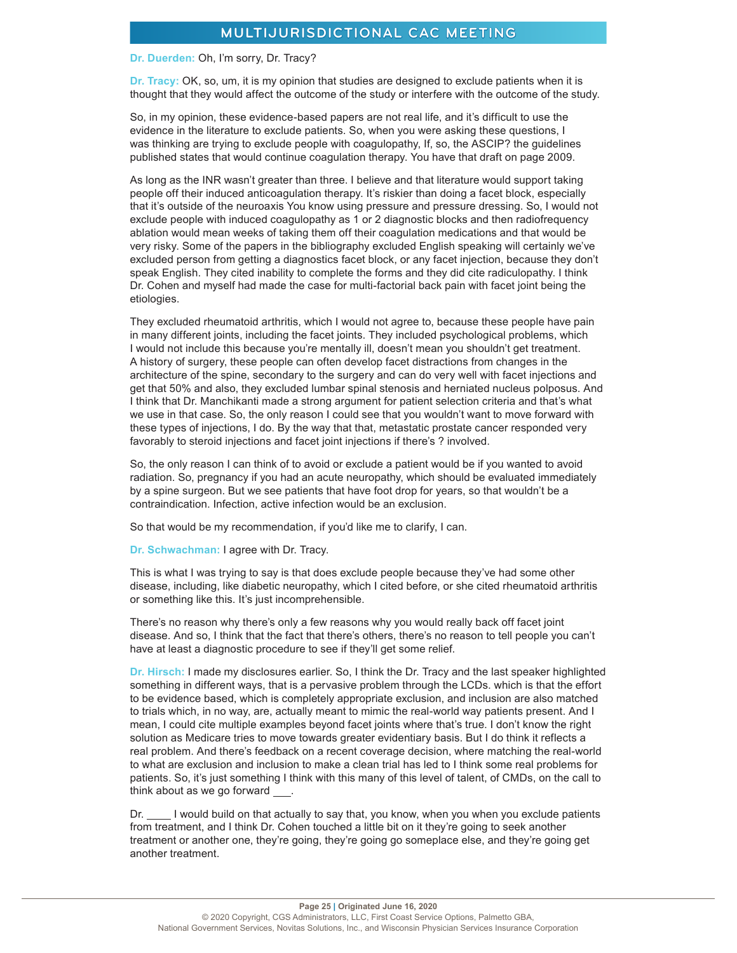#### **Dr. Duerden:** Oh, I'm sorry, Dr. Tracy?

**Dr. Tracy:** OK, so, um, it is my opinion that studies are designed to exclude patients when it is thought that they would affect the outcome of the study or interfere with the outcome of the study.

So, in my opinion, these evidence-based papers are not real life, and it's difficult to use the evidence in the literature to exclude patients. So, when you were asking these questions, I was thinking are trying to exclude people with coagulopathy, If, so, the ASCIP? the guidelines published states that would continue coagulation therapy. You have that draft on page 2009.

As long as the INR wasn't greater than three. I believe and that literature would support taking people off their induced anticoagulation therapy. It's riskier than doing a facet block, especially that it's outside of the neuroaxis You know using pressure and pressure dressing. So, I would not exclude people with induced coagulopathy as 1 or 2 diagnostic blocks and then radiofrequency ablation would mean weeks of taking them off their coagulation medications and that would be very risky. Some of the papers in the bibliography excluded English speaking will certainly we've excluded person from getting a diagnostics facet block, or any facet injection, because they don't speak English. They cited inability to complete the forms and they did cite radiculopathy. I think Dr. Cohen and myself had made the case for multi-factorial back pain with facet joint being the etiologies.

They excluded rheumatoid arthritis, which I would not agree to, because these people have pain in many different joints, including the facet joints. They included psychological problems, which I would not include this because you're mentally ill, doesn't mean you shouldn't get treatment. A history of surgery, these people can often develop facet distractions from changes in the architecture of the spine, secondary to the surgery and can do very well with facet injections and get that 50% and also, they excluded lumbar spinal stenosis and herniated nucleus polposus. And I think that Dr. Manchikanti made a strong argument for patient selection criteria and that's what we use in that case. So, the only reason I could see that you wouldn't want to move forward with these types of injections, I do. By the way that that, metastatic prostate cancer responded very favorably to steroid injections and facet joint injections if there's ? involved.

So, the only reason I can think of to avoid or exclude a patient would be if you wanted to avoid radiation. So, pregnancy if you had an acute neuropathy, which should be evaluated immediately by a spine surgeon. But we see patients that have foot drop for years, so that wouldn't be a contraindication. Infection, active infection would be an exclusion.

So that would be my recommendation, if you'd like me to clarify, I can.

**Dr. Schwachman:** I agree with Dr. Tracy.

This is what I was trying to say is that does exclude people because they've had some other disease, including, like diabetic neuropathy, which I cited before, or she cited rheumatoid arthritis or something like this. It's just incomprehensible.

There's no reason why there's only a few reasons why you would really back off facet joint disease. And so, I think that the fact that there's others, there's no reason to tell people you can't have at least a diagnostic procedure to see if they'll get some relief.

**Dr. Hirsch:** I made my disclosures earlier. So, I think the Dr. Tracy and the last speaker highlighted something in different ways, that is a pervasive problem through the LCDs. which is that the effort to be evidence based, which is completely appropriate exclusion, and inclusion are also matched to trials which, in no way, are, actually meant to mimic the real-world way patients present. And I mean, I could cite multiple examples beyond facet joints where that's true. I don't know the right solution as Medicare tries to move towards greater evidentiary basis. But I do think it reflects a real problem. And there's feedback on a recent coverage decision, where matching the real-world to what are exclusion and inclusion to make a clean trial has led to I think some real problems for patients. So, it's just something I think with this many of this level of talent, of CMDs, on the call to think about as we go forward .

Dr. I would build on that actually to say that, you know, when you when you exclude patients from treatment, and I think Dr. Cohen touched a little bit on it they're going to seek another treatment or another one, they're going, they're going go someplace else, and they're going get another treatment.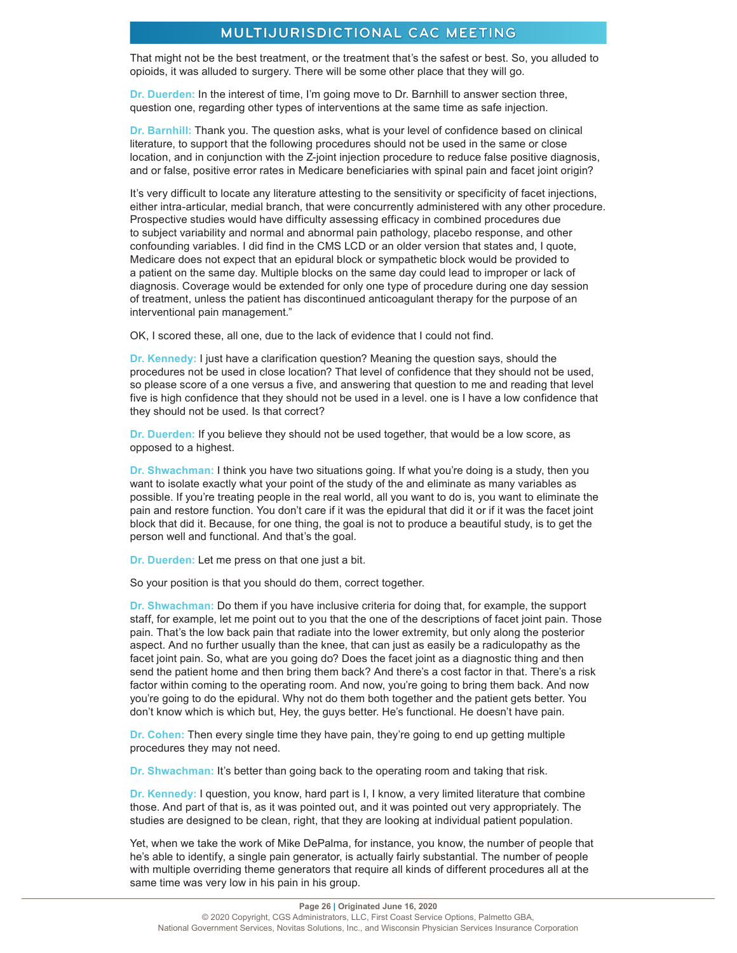That might not be the best treatment, or the treatment that's the safest or best. So, you alluded to opioids, it was alluded to surgery. There will be some other place that they will go.

**Dr. Duerden:** In the interest of time, I'm going move to Dr. Barnhill to answer section three, question one, regarding other types of interventions at the same time as safe injection.

**Dr. Barnhill:** Thank you. The question asks, what is your level of confidence based on clinical literature, to support that the following procedures should not be used in the same or close location, and in conjunction with the Z-joint injection procedure to reduce false positive diagnosis, and or false, positive error rates in Medicare beneficiaries with spinal pain and facet joint origin?

It's very difficult to locate any literature attesting to the sensitivity or specificity of facet injections, either intra-articular, medial branch, that were concurrently administered with any other procedure. Prospective studies would have difficulty assessing efficacy in combined procedures due to subject variability and normal and abnormal pain pathology, placebo response, and other confounding variables. I did find in the CMS LCD or an older version that states and, I quote, Medicare does not expect that an epidural block or sympathetic block would be provided to a patient on the same day. Multiple blocks on the same day could lead to improper or lack of diagnosis. Coverage would be extended for only one type of procedure during one day session of treatment, unless the patient has discontinued anticoagulant therapy for the purpose of an interventional pain management."

OK, I scored these, all one, due to the lack of evidence that I could not find.

**Dr. Kennedy:** I just have a clarification question? Meaning the question says, should the procedures not be used in close location? That level of confidence that they should not be used, so please score of a one versus a five, and answering that question to me and reading that level five is high confidence that they should not be used in a level. one is I have a low confidence that they should not be used. Is that correct?

**Dr. Duerden:** If you believe they should not be used together, that would be a low score, as opposed to a highest.

**Dr. Shwachman:** I think you have two situations going. If what you're doing is a study, then you want to isolate exactly what your point of the study of the and eliminate as many variables as possible. If you're treating people in the real world, all you want to do is, you want to eliminate the pain and restore function. You don't care if it was the epidural that did it or if it was the facet joint block that did it. Because, for one thing, the goal is not to produce a beautiful study, is to get the person well and functional. And that's the goal.

**Dr. Duerden:** Let me press on that one just a bit.

So your position is that you should do them, correct together.

**Dr. Shwachman:** Do them if you have inclusive criteria for doing that, for example, the support staff, for example, let me point out to you that the one of the descriptions of facet joint pain. Those pain. That's the low back pain that radiate into the lower extremity, but only along the posterior aspect. And no further usually than the knee, that can just as easily be a radiculopathy as the facet joint pain. So, what are you going do? Does the facet joint as a diagnostic thing and then send the patient home and then bring them back? And there's a cost factor in that. There's a risk factor within coming to the operating room. And now, you're going to bring them back. And now you're going to do the epidural. Why not do them both together and the patient gets better. You don't know which is which but, Hey, the guys better. He's functional. He doesn't have pain.

**Dr. Cohen:** Then every single time they have pain, they're going to end up getting multiple procedures they may not need.

**Dr. Shwachman:** It's better than going back to the operating room and taking that risk.

**Dr. Kennedy:** I question, you know, hard part is I, I know, a very limited literature that combine those. And part of that is, as it was pointed out, and it was pointed out very appropriately. The studies are designed to be clean, right, that they are looking at individual patient population.

Yet, when we take the work of Mike DePalma, for instance, you know, the number of people that he's able to identify, a single pain generator, is actually fairly substantial. The number of people with multiple overriding theme generators that require all kinds of different procedures all at the same time was very low in his pain in his group.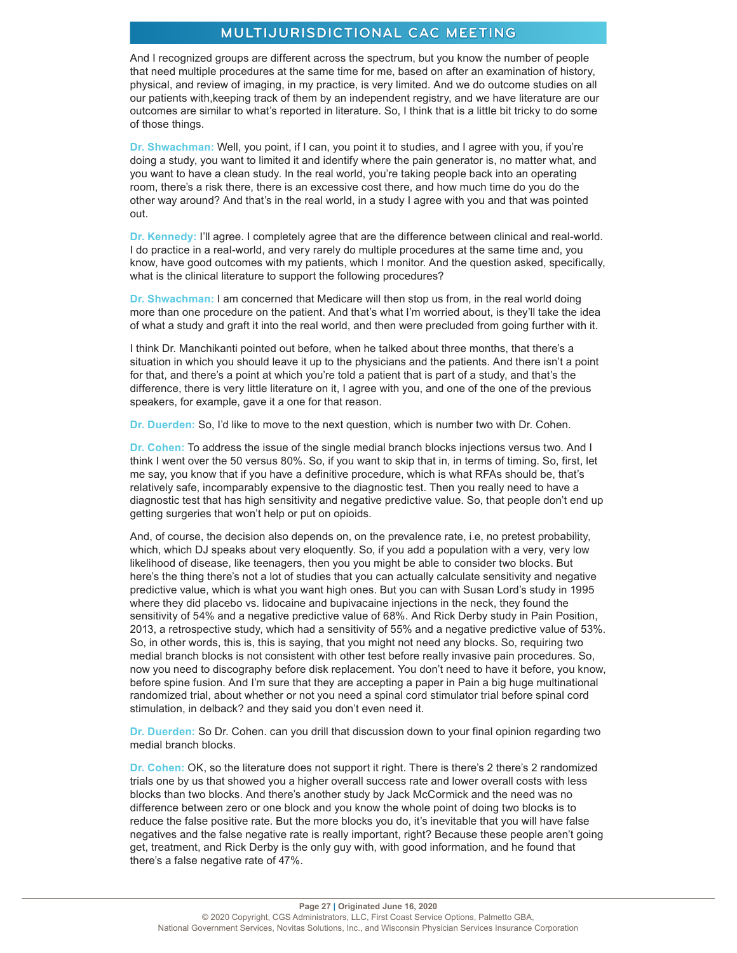And I recognized groups are different across the spectrum, but you know the number of people that need multiple procedures at the same time for me, based on after an examination of history, physical, and review of imaging, in my practice, is very limited. And we do outcome studies on all our patients with,keeping track of them by an independent registry, and we have literature are our outcomes are similar to what's reported in literature. So, I think that is a little bit tricky to do some of those things.

**Dr. Shwachman:** Well, you point, if I can, you point it to studies, and I agree with you, if you're doing a study, you want to limited it and identify where the pain generator is, no matter what, and you want to have a clean study. In the real world, you're taking people back into an operating room, there's a risk there, there is an excessive cost there, and how much time do you do the other way around? And that's in the real world, in a study I agree with you and that was pointed out.

**Dr. Kennedy:** I'll agree. I completely agree that are the difference between clinical and real-world. I do practice in a real-world, and very rarely do multiple procedures at the same time and, you know, have good outcomes with my patients, which I monitor. And the question asked, specifically, what is the clinical literature to support the following procedures?

**Dr. Shwachman:** I am concerned that Medicare will then stop us from, in the real world doing more than one procedure on the patient. And that's what I'm worried about, is they'll take the idea of what a study and graft it into the real world, and then were precluded from going further with it.

I think Dr. Manchikanti pointed out before, when he talked about three months, that there's a situation in which you should leave it up to the physicians and the patients. And there isn't a point for that, and there's a point at which you're told a patient that is part of a study, and that's the difference, there is very little literature on it, I agree with you, and one of the one of the previous speakers, for example, gave it a one for that reason.

**Dr. Duerden:** So, I'd like to move to the next question, which is number two with Dr. Cohen.

**Dr. Cohen:** To address the issue of the single medial branch blocks injections versus two. And I think I went over the 50 versus 80%. So, if you want to skip that in, in terms of timing. So, first, let me say, you know that if you have a definitive procedure, which is what RFAs should be, that's relatively safe, incomparably expensive to the diagnostic test. Then you really need to have a diagnostic test that has high sensitivity and negative predictive value. So, that people don't end up getting surgeries that won't help or put on opioids.

And, of course, the decision also depends on, on the prevalence rate, i.e, no pretest probability, which, which DJ speaks about very eloquently. So, if you add a population with a very, very low likelihood of disease, like teenagers, then you you might be able to consider two blocks. But here's the thing there's not a lot of studies that you can actually calculate sensitivity and negative predictive value, which is what you want high ones. But you can with Susan Lord's study in 1995 where they did placebo vs. lidocaine and bupivacaine injections in the neck, they found the sensitivity of 54% and a negative predictive value of 68%. And Rick Derby study in Pain Position, 2013, a retrospective study, which had a sensitivity of 55% and a negative predictive value of 53%. So, in other words, this is, this is saying, that you might not need any blocks. So, requiring two medial branch blocks is not consistent with other test before really invasive pain procedures. So, now you need to discography before disk replacement. You don't need to have it before, you know, before spine fusion. And I'm sure that they are accepting a paper in Pain a big huge multinational randomized trial, about whether or not you need a spinal cord stimulator trial before spinal cord stimulation, in delback? and they said you don't even need it.

**Dr. Duerden:** So Dr. Cohen. can you drill that discussion down to your final opinion regarding two medial branch blocks.

**Dr. Cohen:** OK, so the literature does not support it right. There is there's 2 there's 2 randomized trials one by us that showed you a higher overall success rate and lower overall costs with less blocks than two blocks. And there's another study by Jack McCormick and the need was no difference between zero or one block and you know the whole point of doing two blocks is to reduce the false positive rate. But the more blocks you do, it's inevitable that you will have false negatives and the false negative rate is really important, right? Because these people aren't going get, treatment, and Rick Derby is the only guy with, with good information, and he found that there's a false negative rate of 47%.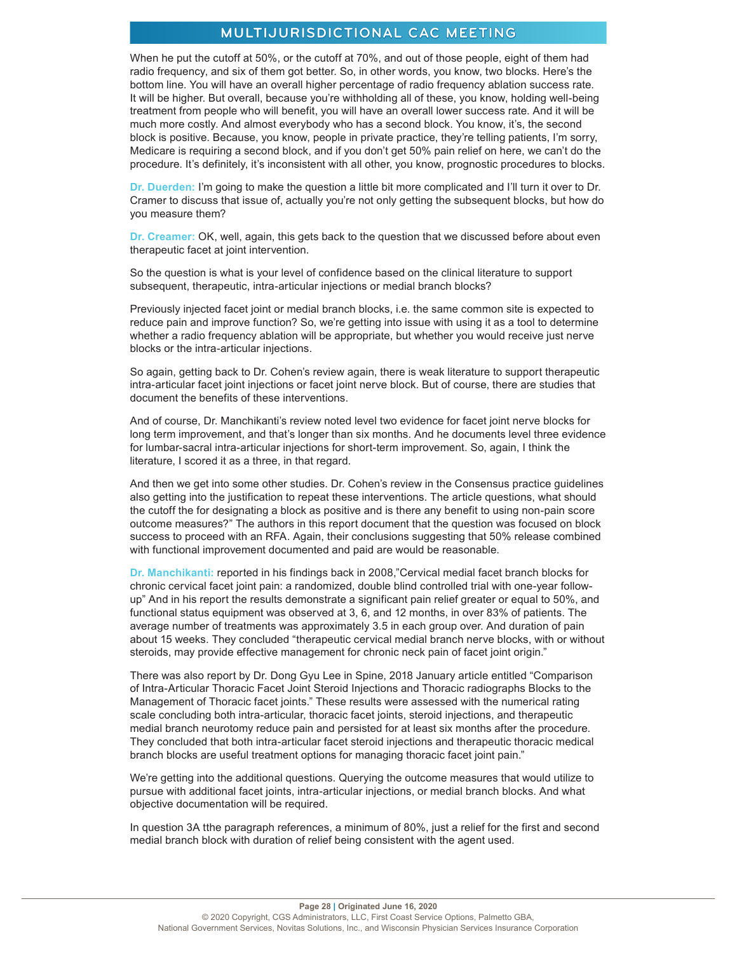When he put the cutoff at 50%, or the cutoff at 70%, and out of those people, eight of them had radio frequency, and six of them got better. So, in other words, you know, two blocks. Here's the bottom line. You will have an overall higher percentage of radio frequency ablation success rate. It will be higher. But overall, because you're withholding all of these, you know, holding well-being treatment from people who will benefit, you will have an overall lower success rate. And it will be much more costly. And almost everybody who has a second block. You know, it's, the second block is positive. Because, you know, people in private practice, they're telling patients, I'm sorry, Medicare is requiring a second block, and if you don't get 50% pain relief on here, we can't do the procedure. It's definitely, it's inconsistent with all other, you know, prognostic procedures to blocks.

**Dr. Duerden:** I'm going to make the question a little bit more complicated and I'll turn it over to Dr. Cramer to discuss that issue of, actually you're not only getting the subsequent blocks, but how do you measure them?

**Dr. Creamer:** OK, well, again, this gets back to the question that we discussed before about even therapeutic facet at joint intervention.

So the question is what is your level of confidence based on the clinical literature to support subsequent, therapeutic, intra-articular injections or medial branch blocks?

Previously injected facet joint or medial branch blocks, i.e. the same common site is expected to reduce pain and improve function? So, we're getting into issue with using it as a tool to determine whether a radio frequency ablation will be appropriate, but whether you would receive just nerve blocks or the intra-articular injections.

So again, getting back to Dr. Cohen's review again, there is weak literature to support therapeutic intra-articular facet joint injections or facet joint nerve block. But of course, there are studies that document the benefits of these interventions.

And of course, Dr. Manchikanti's review noted level two evidence for facet joint nerve blocks for long term improvement, and that's longer than six months. And he documents level three evidence for lumbar-sacral intra-articular injections for short-term improvement. So, again, I think the literature, I scored it as a three, in that regard.

And then we get into some other studies. Dr. Cohen's review in the Consensus practice guidelines also getting into the justification to repeat these interventions. The article questions, what should the cutoff the for designating a block as positive and is there any benefit to using non-pain score outcome measures?" The authors in this report document that the question was focused on block success to proceed with an RFA. Again, their conclusions suggesting that 50% release combined with functional improvement documented and paid are would be reasonable.

**Dr. Manchikanti:** reported in his findings back in 2008,"Cervical medial facet branch blocks for chronic cervical facet joint pain: a randomized, double blind controlled trial with one-year followup" And in his report the results demonstrate a significant pain relief greater or equal to 50%, and functional status equipment was observed at 3, 6, and 12 months, in over 83% of patients. The average number of treatments was approximately 3.5 in each group over. And duration of pain about 15 weeks. They concluded "therapeutic cervical medial branch nerve blocks, with or without steroids, may provide effective management for chronic neck pain of facet joint origin."

There was also report by Dr. Dong Gyu Lee in Spine, 2018 January article entitled "Comparison of Intra-Articular Thoracic Facet Joint Steroid Injections and Thoracic radiographs Blocks to the Management of Thoracic facet joints." These results were assessed with the numerical rating scale concluding both intra-articular, thoracic facet joints, steroid injections, and therapeutic medial branch neurotomy reduce pain and persisted for at least six months after the procedure. They concluded that both intra-articular facet steroid injections and therapeutic thoracic medical branch blocks are useful treatment options for managing thoracic facet joint pain."

We're getting into the additional questions. Querying the outcome measures that would utilize to pursue with additional facet joints, intra-articular injections, or medial branch blocks. And what objective documentation will be required.

In question 3A tthe paragraph references, a minimum of 80%, just a relief for the first and second medial branch block with duration of relief being consistent with the agent used.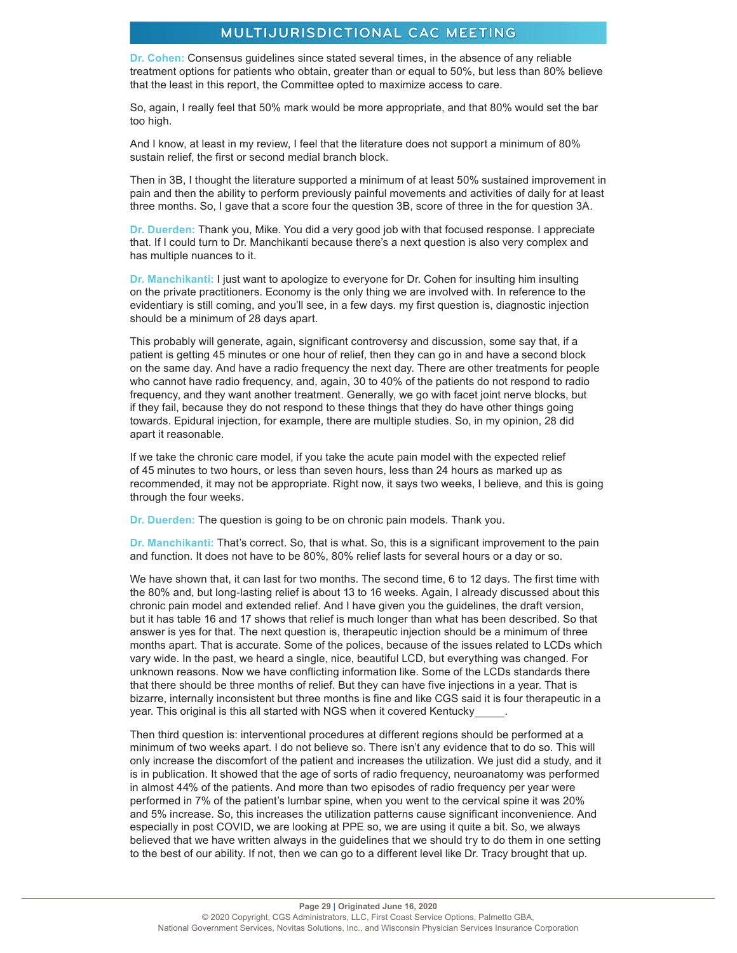**Dr. Cohen:** Consensus guidelines since stated several times, in the absence of any reliable treatment options for patients who obtain, greater than or equal to 50%, but less than 80% believe that the least in this report, the Committee opted to maximize access to care.

So, again, I really feel that 50% mark would be more appropriate, and that 80% would set the bar too high.

And I know, at least in my review, I feel that the literature does not support a minimum of 80% sustain relief, the first or second medial branch block.

Then in 3B, I thought the literature supported a minimum of at least 50% sustained improvement in pain and then the ability to perform previously painful movements and activities of daily for at least three months. So, I gave that a score four the question 3B, score of three in the for question 3A.

**Dr. Duerden:** Thank you, Mike. You did a very good job with that focused response. I appreciate that. If I could turn to Dr. Manchikanti because there's a next question is also very complex and has multiple nuances to it.

**Dr. Manchikanti:** I just want to apologize to everyone for Dr. Cohen for insulting him insulting on the private practitioners. Economy is the only thing we are involved with. In reference to the evidentiary is still coming, and you'll see, in a few days. my first question is, diagnostic injection should be a minimum of 28 days apart.

This probably will generate, again, significant controversy and discussion, some say that, if a patient is getting 45 minutes or one hour of relief, then they can go in and have a second block on the same day. And have a radio frequency the next day. There are other treatments for people who cannot have radio frequency, and, again, 30 to 40% of the patients do not respond to radio frequency, and they want another treatment. Generally, we go with facet joint nerve blocks, but if they fail, because they do not respond to these things that they do have other things going towards. Epidural injection, for example, there are multiple studies. So, in my opinion, 28 did apart it reasonable.

If we take the chronic care model, if you take the acute pain model with the expected relief of 45 minutes to two hours, or less than seven hours, less than 24 hours as marked up as recommended, it may not be appropriate. Right now, it says two weeks, I believe, and this is going through the four weeks.

**Dr. Duerden:** The question is going to be on chronic pain models. Thank you.

**Dr. Manchikanti:** That's correct. So, that is what. So, this is a significant improvement to the pain and function. It does not have to be 80%, 80% relief lasts for several hours or a day or so.

We have shown that, it can last for two months. The second time, 6 to 12 days. The first time with the 80% and, but long-lasting relief is about 13 to 16 weeks. Again, I already discussed about this chronic pain model and extended relief. And I have given you the guidelines, the draft version, but it has table 16 and 17 shows that relief is much longer than what has been described. So that answer is yes for that. The next question is, therapeutic injection should be a minimum of three months apart. That is accurate. Some of the polices, because of the issues related to LCDs which vary wide. In the past, we heard a single, nice, beautiful LCD, but everything was changed. For unknown reasons. Now we have conflicting information like. Some of the LCDs standards there that there should be three months of relief. But they can have five injections in a year. That is bizarre, internally inconsistent but three months is fine and like CGS said it is four therapeutic in a year. This original is this all started with NGS when it covered Kentucky .

Then third question is: interventional procedures at different regions should be performed at a minimum of two weeks apart. I do not believe so. There isn't any evidence that to do so. This will only increase the discomfort of the patient and increases the utilization. We just did a study, and it is in publication. It showed that the age of sorts of radio frequency, neuroanatomy was performed in almost 44% of the patients. And more than two episodes of radio frequency per year were performed in 7% of the patient's lumbar spine, when you went to the cervical spine it was 20% and 5% increase. So, this increases the utilization patterns cause significant inconvenience. And especially in post COVID, we are looking at PPE so, we are using it quite a bit. So, we always believed that we have written always in the guidelines that we should try to do them in one setting to the best of our ability. If not, then we can go to a different level like Dr. Tracy brought that up.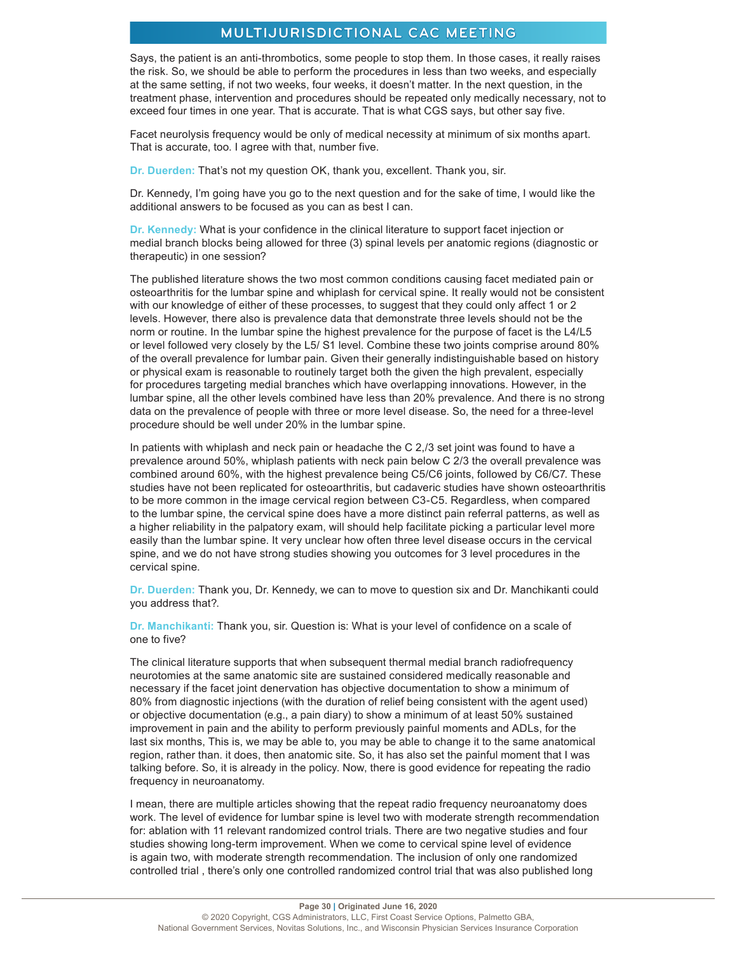Says, the patient is an anti-thrombotics, some people to stop them. In those cases, it really raises the risk. So, we should be able to perform the procedures in less than two weeks, and especially at the same setting, if not two weeks, four weeks, it doesn't matter. In the next question, in the treatment phase, intervention and procedures should be repeated only medically necessary, not to exceed four times in one year. That is accurate. That is what CGS says, but other say five.

Facet neurolysis frequency would be only of medical necessity at minimum of six months apart. That is accurate, too. I agree with that, number five.

**Dr. Duerden:** That's not my question OK, thank you, excellent. Thank you, sir.

Dr. Kennedy, I'm going have you go to the next question and for the sake of time, I would like the additional answers to be focused as you can as best I can.

**Dr. Kennedy:** What is your confidence in the clinical literature to support facet injection or medial branch blocks being allowed for three (3) spinal levels per anatomic regions (diagnostic or therapeutic) in one session?

The published literature shows the two most common conditions causing facet mediated pain or osteoarthritis for the lumbar spine and whiplash for cervical spine. It really would not be consistent with our knowledge of either of these processes, to suggest that they could only affect 1 or 2 levels. However, there also is prevalence data that demonstrate three levels should not be the norm or routine. In the lumbar spine the highest prevalence for the purpose of facet is the L4/L5 or level followed very closely by the L5/ S1 level. Combine these two joints comprise around 80% of the overall prevalence for lumbar pain. Given their generally indistinguishable based on history or physical exam is reasonable to routinely target both the given the high prevalent, especially for procedures targeting medial branches which have overlapping innovations. However, in the lumbar spine, all the other levels combined have less than 20% prevalence. And there is no strong data on the prevalence of people with three or more level disease. So, the need for a three-level procedure should be well under 20% in the lumbar spine.

In patients with whiplash and neck pain or headache the C 2,/3 set joint was found to have a prevalence around 50%, whiplash patients with neck pain below C 2/3 the overall prevalence was combined around 60%, with the highest prevalence being C5/C6 joints, followed by C6/C7. These studies have not been replicated for osteoarthritis, but cadaveric studies have shown osteoarthritis to be more common in the image cervical region between C3-C5. Regardless, when compared to the lumbar spine, the cervical spine does have a more distinct pain referral patterns, as well as a higher reliability in the palpatory exam, will should help facilitate picking a particular level more easily than the lumbar spine. It very unclear how often three level disease occurs in the cervical spine, and we do not have strong studies showing you outcomes for 3 level procedures in the cervical spine.

**Dr. Duerden:** Thank you, Dr. Kennedy, we can to move to question six and Dr. Manchikanti could you address that?.

**Dr. Manchikanti:** Thank you, sir. Question is: What is your level of confidence on a scale of one to five?

The clinical literature supports that when subsequent thermal medial branch radiofrequency neurotomies at the same anatomic site are sustained considered medically reasonable and necessary if the facet joint denervation has objective documentation to show a minimum of 80% from diagnostic injections (with the duration of relief being consistent with the agent used) or objective documentation (e.g., a pain diary) to show a minimum of at least 50% sustained improvement in pain and the ability to perform previously painful moments and ADLs, for the last six months, This is, we may be able to, you may be able to change it to the same anatomical region, rather than. it does, then anatomic site. So, it has also set the painful moment that I was talking before. So, it is already in the policy. Now, there is good evidence for repeating the radio frequency in neuroanatomy.

I mean, there are multiple articles showing that the repeat radio frequency neuroanatomy does work. The level of evidence for lumbar spine is level two with moderate strength recommendation for: ablation with 11 relevant randomized control trials. There are two negative studies and four studies showing long-term improvement. When we come to cervical spine level of evidence is again two, with moderate strength recommendation. The inclusion of only one randomized controlled trial , there's only one controlled randomized control trial that was also published long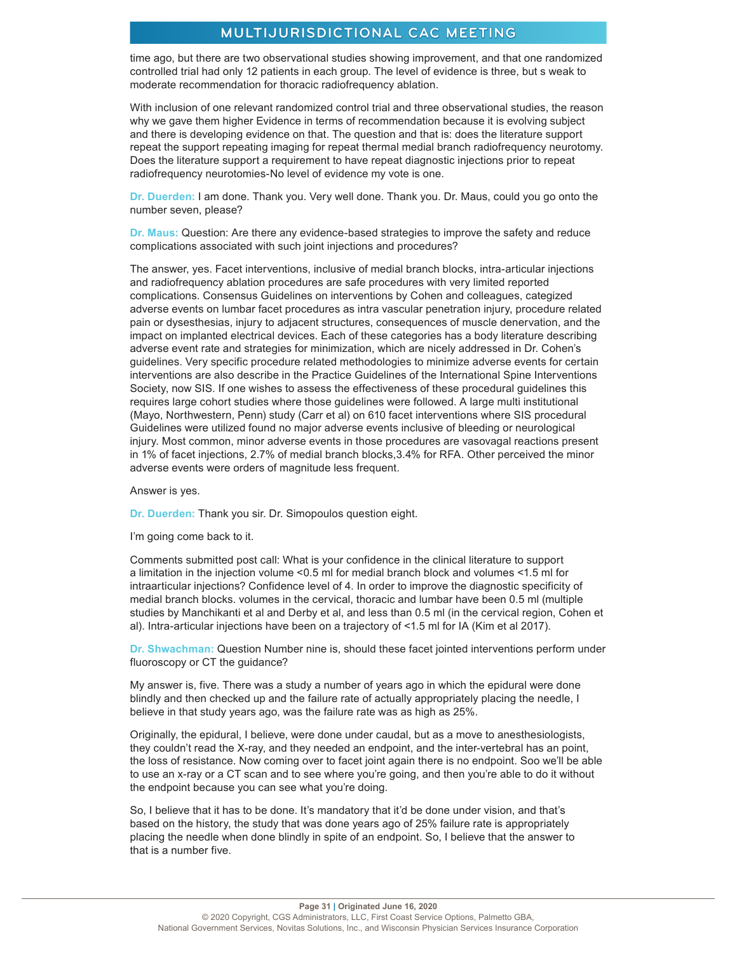time ago, but there are two observational studies showing improvement, and that one randomized controlled trial had only 12 patients in each group. The level of evidence is three, but s weak to moderate recommendation for thoracic radiofrequency ablation.

With inclusion of one relevant randomized control trial and three observational studies, the reason why we gave them higher Evidence in terms of recommendation because it is evolving subject and there is developing evidence on that. The question and that is: does the literature support repeat the support repeating imaging for repeat thermal medial branch radiofrequency neurotomy. Does the literature support a requirement to have repeat diagnostic injections prior to repeat radiofrequency neurotomies-No level of evidence my vote is one.

**Dr. Duerden:** I am done. Thank you. Very well done. Thank you. Dr. Maus, could you go onto the number seven, please?

**Dr. Maus:** Question: Are there any evidence-based strategies to improve the safety and reduce complications associated with such joint injections and procedures?

The answer, yes. Facet interventions, inclusive of medial branch blocks, intra-articular injections and radiofrequency ablation procedures are safe procedures with very limited reported complications. Consensus Guidelines on interventions by Cohen and colleagues, categized adverse events on lumbar facet procedures as intra vascular penetration injury, procedure related pain or dysesthesias, injury to adjacent structures, consequences of muscle denervation, and the impact on implanted electrical devices. Each of these categories has a body literature describing adverse event rate and strategies for minimization, which are nicely addressed in Dr. Cohen's guidelines. Very specific procedure related methodologies to minimize adverse events for certain interventions are also describe in the Practice Guidelines of the International Spine Interventions Society, now SIS. If one wishes to assess the effectiveness of these procedural guidelines this requires large cohort studies where those guidelines were followed. A large multi institutional (Mayo, Northwestern, Penn) study (Carr et al) on 610 facet interventions where SIS procedural Guidelines were utilized found no major adverse events inclusive of bleeding or neurological injury. Most common, minor adverse events in those procedures are vasovagal reactions present in 1% of facet injections, 2.7% of medial branch blocks,3.4% for RFA. Other perceived the minor adverse events were orders of magnitude less frequent.

Answer is yes.

**Dr. Duerden:** Thank you sir. Dr. Simopoulos question eight.

I'm going come back to it.

Comments submitted post call: What is your confidence in the clinical literature to support a limitation in the injection volume <0.5 ml for medial branch block and volumes <1.5 ml for intraarticular injections? Confidence level of 4. In order to improve the diagnostic specificity of medial branch blocks. volumes in the cervical, thoracic and lumbar have been 0.5 ml (multiple studies by Manchikanti et al and Derby et al, and less than 0.5 ml (in the cervical region, Cohen et al). Intra-articular injections have been on a trajectory of <1.5 ml for IA (Kim et al 2017).

**Dr. Shwachman:** Question Number nine is, should these facet jointed interventions perform under fluoroscopy or CT the guidance?

My answer is, five. There was a study a number of years ago in which the epidural were done blindly and then checked up and the failure rate of actually appropriately placing the needle, I believe in that study years ago, was the failure rate was as high as 25%.

Originally, the epidural, I believe, were done under caudal, but as a move to anesthesiologists, they couldn't read the X-ray, and they needed an endpoint, and the inter-vertebral has an point, the loss of resistance. Now coming over to facet joint again there is no endpoint. Soo we'll be able to use an x-ray or a CT scan and to see where you're going, and then you're able to do it without the endpoint because you can see what you're doing.

So, I believe that it has to be done. It's mandatory that it'd be done under vision, and that's based on the history, the study that was done years ago of 25% failure rate is appropriately placing the needle when done blindly in spite of an endpoint. So, I believe that the answer to that is a number five.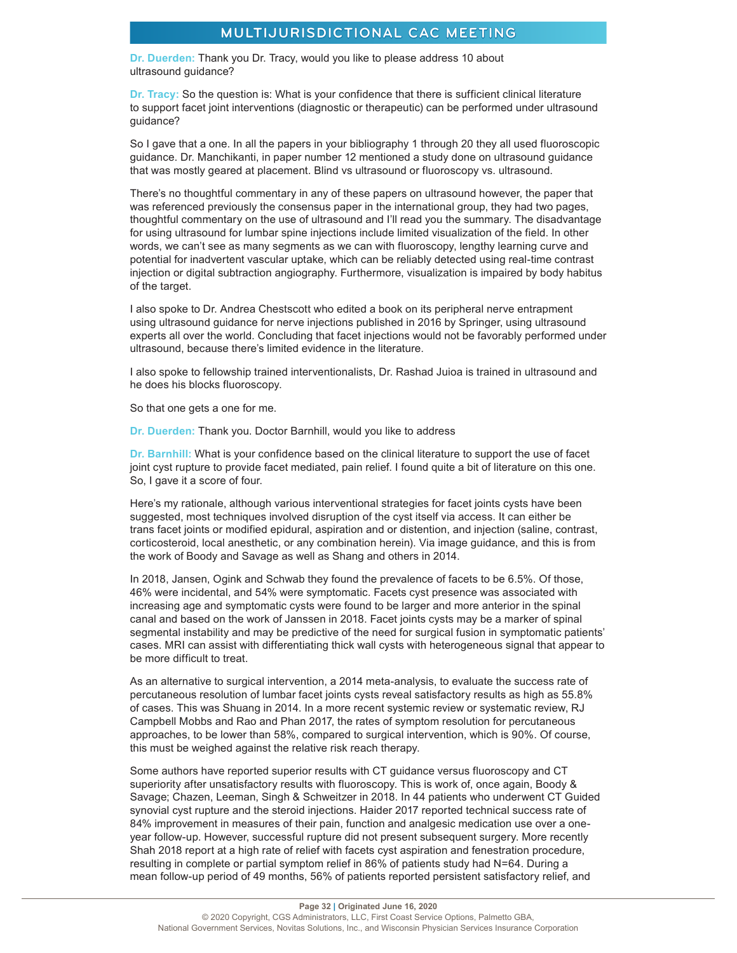**Dr. Duerden:** Thank you Dr. Tracy, would you like to please address 10 about ultrasound guidance?

**Dr. Tracy:** So the question is: What is your confidence that there is sufficient clinical literature to support facet joint interventions (diagnostic or therapeutic) can be performed under ultrasound guidance?

So I gave that a one. In all the papers in your bibliography 1 through 20 they all used fluoroscopic guidance. Dr. Manchikanti, in paper number 12 mentioned a study done on ultrasound guidance that was mostly geared at placement. Blind vs ultrasound or fluoroscopy vs. ultrasound.

There's no thoughtful commentary in any of these papers on ultrasound however, the paper that was referenced previously the consensus paper in the international group, they had two pages, thoughtful commentary on the use of ultrasound and I'll read you the summary. The disadvantage for using ultrasound for lumbar spine injections include limited visualization of the field. In other words, we can't see as many segments as we can with fluoroscopy, lengthy learning curve and potential for inadvertent vascular uptake, which can be reliably detected using real-time contrast injection or digital subtraction angiography. Furthermore, visualization is impaired by body habitus of the target.

I also spoke to Dr. Andrea Chestscott who edited a book on its peripheral nerve entrapment using ultrasound guidance for nerve injections published in 2016 by Springer, using ultrasound experts all over the world. Concluding that facet injections would not be favorably performed under ultrasound, because there's limited evidence in the literature.

I also spoke to fellowship trained interventionalists, Dr. Rashad Juioa is trained in ultrasound and he does his blocks fluoroscopy.

So that one gets a one for me.

**Dr. Duerden:** Thank you. Doctor Barnhill, would you like to address

**Dr. Barnhill:** What is your confidence based on the clinical literature to support the use of facet joint cyst rupture to provide facet mediated, pain relief. I found quite a bit of literature on this one. So, I gave it a score of four.

Here's my rationale, although various interventional strategies for facet joints cysts have been suggested, most techniques involved disruption of the cyst itself via access. It can either be trans facet joints or modified epidural, aspiration and or distention, and injection (saline, contrast, corticosteroid, local anesthetic, or any combination herein). Via image guidance, and this is from the work of Boody and Savage as well as Shang and others in 2014.

In 2018, Jansen, Ogink and Schwab they found the prevalence of facets to be 6.5%. Of those, 46% were incidental, and 54% were symptomatic. Facets cyst presence was associated with increasing age and symptomatic cysts were found to be larger and more anterior in the spinal canal and based on the work of Janssen in 2018. Facet joints cysts may be a marker of spinal segmental instability and may be predictive of the need for surgical fusion in symptomatic patients' cases. MRI can assist with differentiating thick wall cysts with heterogeneous signal that appear to be more difficult to treat.

As an alternative to surgical intervention, a 2014 meta-analysis, to evaluate the success rate of percutaneous resolution of lumbar facet joints cysts reveal satisfactory results as high as 55.8% of cases. This was Shuang in 2014. In a more recent systemic review or systematic review, RJ Campbell Mobbs and Rao and Phan 2017, the rates of symptom resolution for percutaneous approaches, to be lower than 58%, compared to surgical intervention, which is 90%. Of course, this must be weighed against the relative risk reach therapy.

Some authors have reported superior results with CT guidance versus fluoroscopy and CT superiority after unsatisfactory results with fluoroscopy. This is work of, once again, Boody & Savage; Chazen, Leeman, Singh & Schweitzer in 2018. In 44 patients who underwent CT Guided synovial cyst rupture and the steroid injections. Haider 2017 reported technical success rate of 84% improvement in measures of their pain, function and analgesic medication use over a oneyear follow-up. However, successful rupture did not present subsequent surgery. More recently Shah 2018 report at a high rate of relief with facets cyst aspiration and fenestration procedure, resulting in complete or partial symptom relief in 86% of patients study had N=64. During a mean follow-up period of 49 months, 56% of patients reported persistent satisfactory relief, and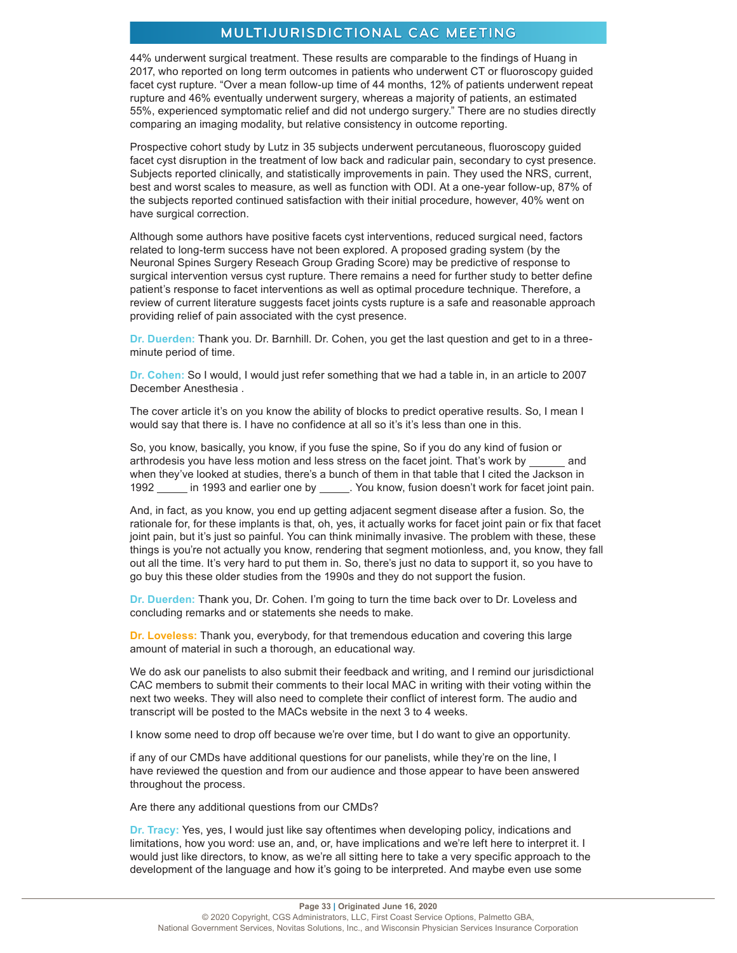44% underwent surgical treatment. These results are comparable to the findings of Huang in 2017, who reported on long term outcomes in patients who underwent CT or fluoroscopy guided facet cyst rupture. "Over a mean follow-up time of 44 months, 12% of patients underwent repeat rupture and 46% eventually underwent surgery, whereas a majority of patients, an estimated 55%, experienced symptomatic relief and did not undergo surgery." There are no studies directly comparing an imaging modality, but relative consistency in outcome reporting.

Prospective cohort study by Lutz in 35 subjects underwent percutaneous, fluoroscopy guided facet cyst disruption in the treatment of low back and radicular pain, secondary to cyst presence. Subjects reported clinically, and statistically improvements in pain. They used the NRS, current, best and worst scales to measure, as well as function with ODI. At a one-year follow-up, 87% of the subjects reported continued satisfaction with their initial procedure, however, 40% went on have surgical correction.

Although some authors have positive facets cyst interventions, reduced surgical need, factors related to long-term success have not been explored. A proposed grading system (by the Neuronal Spines Surgery Reseach Group Grading Score) may be predictive of response to surgical intervention versus cyst rupture. There remains a need for further study to better define patient's response to facet interventions as well as optimal procedure technique. Therefore, a review of current literature suggests facet joints cysts rupture is a safe and reasonable approach providing relief of pain associated with the cyst presence.

**Dr. Duerden:** Thank you. Dr. Barnhill. Dr. Cohen, you get the last question and get to in a threeminute period of time.

**Dr. Cohen:** So I would, I would just refer something that we had a table in, in an article to 2007 December Anesthesia .

The cover article it's on you know the ability of blocks to predict operative results. So, I mean I would say that there is. I have no confidence at all so it's it's less than one in this.

So, you know, basically, you know, if you fuse the spine, So if you do any kind of fusion or arthrodesis you have less motion and less stress on the facet joint. That's work by and when they've looked at studies, there's a bunch of them in that table that I cited the Jackson in 1992 in 1993 and earlier one by . You know, fusion doesn't work for facet joint pain.

And, in fact, as you know, you end up getting adjacent segment disease after a fusion. So, the rationale for, for these implants is that, oh, yes, it actually works for facet joint pain or fix that facet joint pain, but it's just so painful. You can think minimally invasive. The problem with these, these things is you're not actually you know, rendering that segment motionless, and, you know, they fall out all the time. It's very hard to put them in. So, there's just no data to support it, so you have to go buy this these older studies from the 1990s and they do not support the fusion.

**Dr. Duerden:** Thank you, Dr. Cohen. I'm going to turn the time back over to Dr. Loveless and concluding remarks and or statements she needs to make.

**Dr. Loveless:** Thank you, everybody, for that tremendous education and covering this large amount of material in such a thorough, an educational way.

We do ask our panelists to also submit their feedback and writing, and I remind our jurisdictional CAC members to submit their comments to their local MAC in writing with their voting within the next two weeks. They will also need to complete their conflict of interest form. The audio and transcript will be posted to the MACs website in the next 3 to 4 weeks.

I know some need to drop off because we're over time, but I do want to give an opportunity.

if any of our CMDs have additional questions for our panelists, while they're on the line, I have reviewed the question and from our audience and those appear to have been answered throughout the process.

Are there any additional questions from our CMDs?

**Dr. Tracy:** Yes, yes, I would just like say oftentimes when developing policy, indications and limitations, how you word: use an, and, or, have implications and we're left here to interpret it. I would just like directors, to know, as we're all sitting here to take a very specific approach to the development of the language and how it's going to be interpreted. And maybe even use some